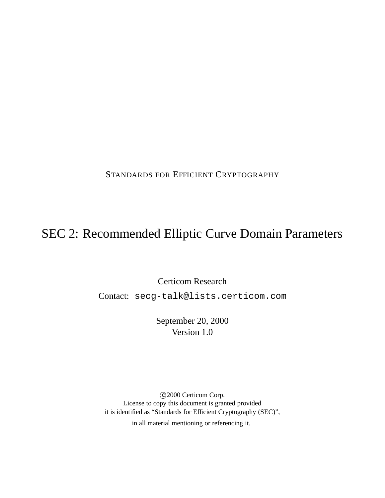STANDARDS FOR EFFICIENT CRYPTOGRAPHY

# SEC 2: Recommended Elliptic Curve Domain Parameters

Certicom Research

Contact: secg-talk@lists.certicom.com

September 20, 2000 Version 1.0

 c 2000 Certicom Corp. License to copy this document is granted provided it is identified as "Standards for Efficient Cryptography (SEC)", in all material mentioning or referencing it.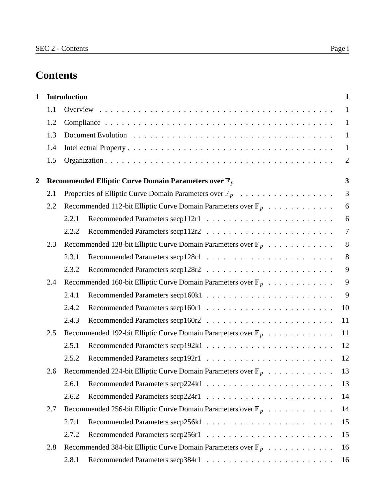# **Contents**

| $\mathbf{1}$ |     | <b>Introduction</b>                                                      |  |  |  | $\mathbf{1}$            |
|--------------|-----|--------------------------------------------------------------------------|--|--|--|-------------------------|
|              | 1.1 |                                                                          |  |  |  | $\mathbf{1}$            |
|              | 1.2 |                                                                          |  |  |  | $\mathbf{1}$            |
|              | 1.3 |                                                                          |  |  |  | $\mathbf{1}$            |
|              | 1.4 |                                                                          |  |  |  | $\mathbf{1}$            |
|              | 1.5 |                                                                          |  |  |  | $\overline{2}$          |
| 2            |     | Recommended Elliptic Curve Domain Parameters over $\mathbb{F}_p$         |  |  |  | $\overline{\mathbf{3}}$ |
|              | 2.1 |                                                                          |  |  |  | 3                       |
|              | 2.2 | Recommended 112-bit Elliptic Curve Domain Parameters over $\mathbb{F}_p$ |  |  |  | 6                       |
|              |     | 2.2.1                                                                    |  |  |  | 6                       |
|              |     | 2.2.2                                                                    |  |  |  | $\overline{7}$          |
|              | 2.3 | Recommended 128-bit Elliptic Curve Domain Parameters over $\mathbb{F}_p$ |  |  |  | 8                       |
|              |     | 2.3.1                                                                    |  |  |  | 8                       |
|              |     | 2.3.2                                                                    |  |  |  | 9                       |
|              | 2.4 | Recommended 160-bit Elliptic Curve Domain Parameters over $\mathbb{F}_p$ |  |  |  | 9                       |
|              |     | 2.4.1                                                                    |  |  |  | 9                       |
|              |     | 2.4.2                                                                    |  |  |  | 10                      |
|              |     | 2.4.3                                                                    |  |  |  | 11                      |
|              | 2.5 | Recommended 192-bit Elliptic Curve Domain Parameters over $\mathbb{F}_p$ |  |  |  | 11                      |
|              |     | 2.5.1                                                                    |  |  |  | 12                      |
|              |     | 2.5.2                                                                    |  |  |  | 12                      |
|              | 2.6 | Recommended 224-bit Elliptic Curve Domain Parameters over $\mathbb{F}_p$ |  |  |  | 13                      |
|              |     | 2.6.1                                                                    |  |  |  | 13                      |
|              |     | 2.6.2                                                                    |  |  |  | 14                      |
|              | 2.7 | Recommended 256-bit Elliptic Curve Domain Parameters over $\mathbb{F}_p$ |  |  |  | 14                      |
|              |     | 2.7.1                                                                    |  |  |  | 15                      |
|              |     | 2.7.2                                                                    |  |  |  | 15                      |
|              | 2.8 | Recommended 384-bit Elliptic Curve Domain Parameters over $\mathbb{F}_p$ |  |  |  | 16                      |
|              |     | 2.8.1                                                                    |  |  |  | 16                      |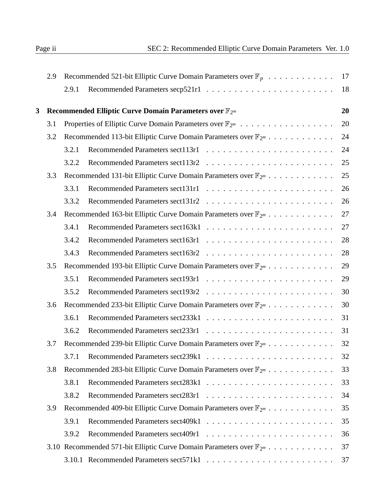| 2.9 |       | 17                                                                                                                                                                                                                                                                                                                                                                                                                                                                                                                                                                                                                                                                                                                                                                                                                                                                                                                                                                              |
|-----|-------|---------------------------------------------------------------------------------------------------------------------------------------------------------------------------------------------------------------------------------------------------------------------------------------------------------------------------------------------------------------------------------------------------------------------------------------------------------------------------------------------------------------------------------------------------------------------------------------------------------------------------------------------------------------------------------------------------------------------------------------------------------------------------------------------------------------------------------------------------------------------------------------------------------------------------------------------------------------------------------|
|     | 2.9.1 | 18                                                                                                                                                                                                                                                                                                                                                                                                                                                                                                                                                                                                                                                                                                                                                                                                                                                                                                                                                                              |
|     |       | 20                                                                                                                                                                                                                                                                                                                                                                                                                                                                                                                                                                                                                                                                                                                                                                                                                                                                                                                                                                              |
| 3.1 |       | 20                                                                                                                                                                                                                                                                                                                                                                                                                                                                                                                                                                                                                                                                                                                                                                                                                                                                                                                                                                              |
| 3.2 |       | 24                                                                                                                                                                                                                                                                                                                                                                                                                                                                                                                                                                                                                                                                                                                                                                                                                                                                                                                                                                              |
|     | 3.2.1 | 24                                                                                                                                                                                                                                                                                                                                                                                                                                                                                                                                                                                                                                                                                                                                                                                                                                                                                                                                                                              |
|     | 3.2.2 | 25                                                                                                                                                                                                                                                                                                                                                                                                                                                                                                                                                                                                                                                                                                                                                                                                                                                                                                                                                                              |
| 3.3 |       | 25                                                                                                                                                                                                                                                                                                                                                                                                                                                                                                                                                                                                                                                                                                                                                                                                                                                                                                                                                                              |
|     | 3.3.1 | 26                                                                                                                                                                                                                                                                                                                                                                                                                                                                                                                                                                                                                                                                                                                                                                                                                                                                                                                                                                              |
|     | 3.3.2 | 26                                                                                                                                                                                                                                                                                                                                                                                                                                                                                                                                                                                                                                                                                                                                                                                                                                                                                                                                                                              |
| 3.4 |       | 27                                                                                                                                                                                                                                                                                                                                                                                                                                                                                                                                                                                                                                                                                                                                                                                                                                                                                                                                                                              |
|     | 3.4.1 | 27                                                                                                                                                                                                                                                                                                                                                                                                                                                                                                                                                                                                                                                                                                                                                                                                                                                                                                                                                                              |
|     | 3.4.2 | 28                                                                                                                                                                                                                                                                                                                                                                                                                                                                                                                                                                                                                                                                                                                                                                                                                                                                                                                                                                              |
|     | 3.4.3 | 28                                                                                                                                                                                                                                                                                                                                                                                                                                                                                                                                                                                                                                                                                                                                                                                                                                                                                                                                                                              |
| 3.5 |       | 29                                                                                                                                                                                                                                                                                                                                                                                                                                                                                                                                                                                                                                                                                                                                                                                                                                                                                                                                                                              |
|     | 3.5.1 | 29                                                                                                                                                                                                                                                                                                                                                                                                                                                                                                                                                                                                                                                                                                                                                                                                                                                                                                                                                                              |
|     | 3.5.2 | 30                                                                                                                                                                                                                                                                                                                                                                                                                                                                                                                                                                                                                                                                                                                                                                                                                                                                                                                                                                              |
| 3.6 |       | 30                                                                                                                                                                                                                                                                                                                                                                                                                                                                                                                                                                                                                                                                                                                                                                                                                                                                                                                                                                              |
|     | 3.6.1 | 31                                                                                                                                                                                                                                                                                                                                                                                                                                                                                                                                                                                                                                                                                                                                                                                                                                                                                                                                                                              |
|     | 3.6.2 | 31                                                                                                                                                                                                                                                                                                                                                                                                                                                                                                                                                                                                                                                                                                                                                                                                                                                                                                                                                                              |
| 3.7 |       | 32                                                                                                                                                                                                                                                                                                                                                                                                                                                                                                                                                                                                                                                                                                                                                                                                                                                                                                                                                                              |
|     | 3.7.1 | 32                                                                                                                                                                                                                                                                                                                                                                                                                                                                                                                                                                                                                                                                                                                                                                                                                                                                                                                                                                              |
| 3.8 |       | 33                                                                                                                                                                                                                                                                                                                                                                                                                                                                                                                                                                                                                                                                                                                                                                                                                                                                                                                                                                              |
|     | 3.8.1 | 33                                                                                                                                                                                                                                                                                                                                                                                                                                                                                                                                                                                                                                                                                                                                                                                                                                                                                                                                                                              |
|     | 3.8.2 | 34                                                                                                                                                                                                                                                                                                                                                                                                                                                                                                                                                                                                                                                                                                                                                                                                                                                                                                                                                                              |
| 3.9 |       | 35                                                                                                                                                                                                                                                                                                                                                                                                                                                                                                                                                                                                                                                                                                                                                                                                                                                                                                                                                                              |
|     | 3.9.1 | 35                                                                                                                                                                                                                                                                                                                                                                                                                                                                                                                                                                                                                                                                                                                                                                                                                                                                                                                                                                              |
|     | 3.9.2 | 36                                                                                                                                                                                                                                                                                                                                                                                                                                                                                                                                                                                                                                                                                                                                                                                                                                                                                                                                                                              |
|     |       | 37                                                                                                                                                                                                                                                                                                                                                                                                                                                                                                                                                                                                                                                                                                                                                                                                                                                                                                                                                                              |
|     |       | 37                                                                                                                                                                                                                                                                                                                                                                                                                                                                                                                                                                                                                                                                                                                                                                                                                                                                                                                                                                              |
|     |       | Recommended 521-bit Elliptic Curve Domain Parameters over $\mathbb{F}_p$<br>Recommended Elliptic Curve Domain Parameters over $\mathbb{F}_{2^m}$<br>Properties of Elliptic Curve Domain Parameters over $\mathbb{F}_{2^m}$<br>Recommended 113-bit Elliptic Curve Domain Parameters over $\mathbb{F}_{2^m}$<br>Recommended 131-bit Elliptic Curve Domain Parameters over $\mathbb{F}_{2^m}$<br>Recommended 163-bit Elliptic Curve Domain Parameters over $\mathbb{F}_{2^m}$<br>Recommended 193-bit Elliptic Curve Domain Parameters over $\mathbb{F}_{2^m}$<br>Recommended 233-bit Elliptic Curve Domain Parameters over $\mathbb{F}_{2^m}$<br>Recommended 239-bit Elliptic Curve Domain Parameters over $\mathbb{F}_{2^m}$<br>Recommended 283-bit Elliptic Curve Domain Parameters over $\mathbb{F}_{2^m}$<br>Recommended 409-bit Elliptic Curve Domain Parameters over $\mathbb{F}_{2^m}$<br>3.10 Recommended 571-bit Elliptic Curve Domain Parameters over $\mathbb{F}_{2^m}$ |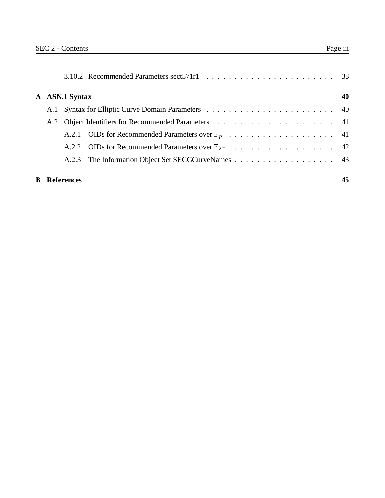|   | A ASN.1 Syntax    | 40 |
|---|-------------------|----|
|   |                   |    |
|   |                   |    |
|   |                   |    |
|   |                   |    |
|   |                   |    |
| B | <b>References</b> | 45 |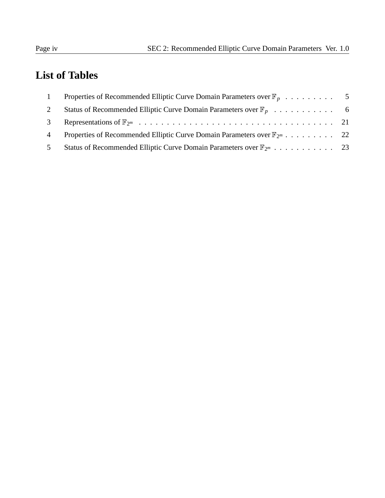# **List of Tables**

| $\overline{1}$ |                                                                                       |  |
|----------------|---------------------------------------------------------------------------------------|--|
| 2              | Status of Recommended Elliptic Curve Domain Parameters over $\mathbb{F}_p$ 6          |  |
| 3              |                                                                                       |  |
| $\overline{4}$ | Properties of Recommended Elliptic Curve Domain Parameters over $\mathbb{F}_{2^m}$ 22 |  |
| 5              | Status of Recommended Elliptic Curve Domain Parameters over $\mathbb{F}_{2^m}$ 23     |  |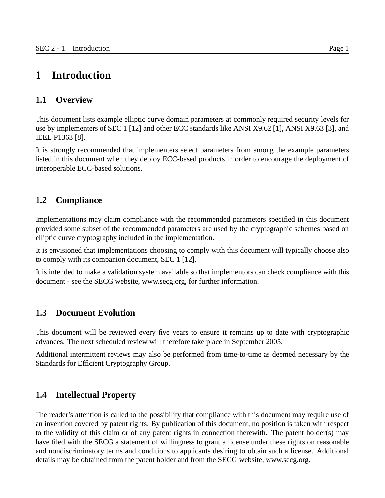## **1 Introduction**

#### **1.1 Overview**

This document lists example elliptic curve domain parameters at commonly required security levels for use by implementers of SEC 1 [12] and other ECC standards like ANSI X9.62 [1], ANSI X9.63 [3], and IEEE P1363 [8].

It is strongly recommended that implementers select parameters from among the example parameters listed in this document when they deploy ECC-based products in order to encourage the deployment of interoperable ECC-based solutions.

## **1.2 Compliance**

Implementations may claim compliance with the recommended parameters specified in this document provided some subset of the recommended parameters are used by the cryptographic schemes based on elliptic curve cryptography included in the implementation.

It is envisioned that implementations choosing to comply with this document will typically choose also to comply with its companion document, SEC 1 [12].

It is intended to make a validation system available so that implementors can check compliance with this document - see the SECG website, www.secg.org, for further information.

#### **1.3 Document Evolution**

This document will be reviewed every five years to ensure it remains up to date with cryptographic advances. The next scheduled review will therefore take place in September 2005.

Additional intermittent reviews may also be performed from time-to-time as deemed necessary by the Standards for Efficient Cryptography Group.

#### **1.4 Intellectual Property**

The reader's attention is called to the possibility that compliance with this document may require use of an invention covered by patent rights. By publication of this document, no position is taken with respect to the validity of this claim or of any patent rights in connection therewith. The patent holder(s) may have filed with the SECG a statement of willingness to grant a license under these rights on reasonable and nondiscriminatory terms and conditions to applicants desiring to obtain such a license. Additional details may be obtained from the patent holder and from the SECG website, www.secg.org.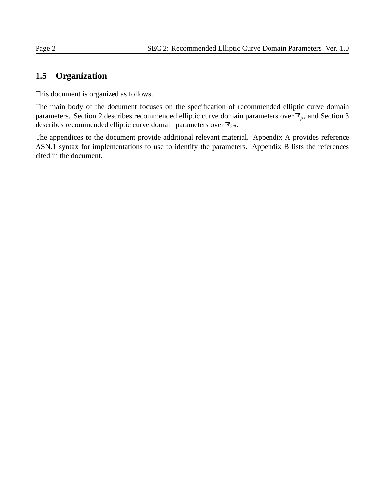## **1.5 Organization**

This document is organized as follows.

The main body of the document focuses on the specification of recommended elliptic curve domain parameters. Section 2 describes recommended elliptic curve domain parameters over  $\mathbb{F}_p$ , and Section 3 describes recommended elliptic curve domain parameters over  $\mathbb{F}_{2^m}$ .

The appendices to the document provide additional relevant material. Appendix A provides reference ASN.1 syntax for implementations to use to identify the parameters. Appendix B lists the references cited in the document.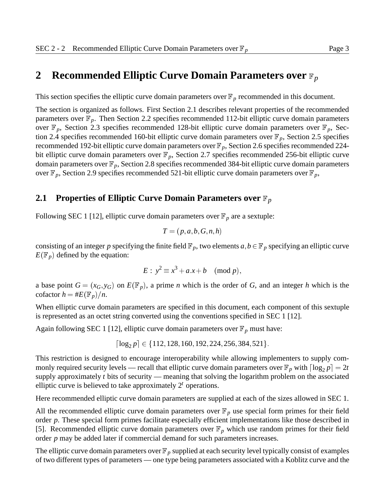## **2** Recommended Elliptic Curve Domain Parameters over  $\mathbb{F}_p$

This section specifies the elliptic curve domain parameters over  $\mathbb{F}_p$  recommended in this document.

The section is organized as follows. First Section 2.1 describes relevant properties of the recommended parameters over  $\mathbb{F}_p$ . Then Section 2.2 specifies recommended 112-bit elliptic curve domain parameters over  $\mathbb{F}_p$ , Section 2.3 specifies recommended 128-bit elliptic curve domain parameters over  $\mathbb{F}_p$ , Section 2.4 specifies recommended 160-bit elliptic curve domain parameters over  $\mathbb{F}_p$ , Section 2.5 specifies recommended 192-bit elliptic curve domain parameters over  $\mathbb{F}_p$ , Section 2.6 specifies recommended 224bit elliptic curve domain parameters over  $\mathbb{F}_p$ , Section 2.7 specifies recommended 256-bit elliptic curve domain parameters over  $\mathbb{F}_p$ , Section 2.8 specifies recommended 384-bit elliptic curve domain parameters over  $\mathbb{F}_p$ , Section 2.9 specifies recommended 521-bit elliptic curve domain parameters over  $\mathbb{F}_p$ ,

#### **2.1 Properties of Elliptic Curve Domain Parameters over**  $\mathbb{F}_p$

Following SEC 1 [12], elliptic curve domain parameters over  $\mathbb{F}_p$  are a sextuple:

$$
T = (p, a, b, G, n, h)
$$

consisting of an integer p specifying the finite field  $\mathbb{F}_p$ , two elements  $a, b \in \mathbb{F}_p$  specifying an elliptic curve  $E(\mathbb{F}_p)$  defined by the equation:

$$
E: y^2 \equiv x^3 + a \cdot x + b \pmod{p},
$$

a base point  $G = (x_G, y_G)$  on  $E(\mathbb{F}_p)$ , a prime *n* which is the order of *G*, and an integer *h* which is the cofactor  $h = \#E(\mathbb{F}_p)/n$ .

When elliptic curve domain parameters are specified in this document, each component of this sextuple is represented as an octet string converted using the conventions specified in SEC 1 [12].

Again following SEC 1 [12], elliptic curve domain parameters over  $\mathbb{F}_p$  must have:

$$
\lceil \log_2 p \rceil \in \{112, 128, 160, 192, 224, 256, 384, 521\}.
$$

This restriction is designed to encourage interoperability while allowing implementers to supply commonly required security levels — recall that elliptic curve domain parameters over  $\mathbb{F}_p$  with  $\lceil \log_2 p \rceil = 2t$ supply approximately *t* bits of security — meaning that solving the logarithm problem on the associated elliptic curve is believed to take approximately 2*<sup>t</sup>* operations.

Here recommended elliptic curve domain parameters are supplied at each of the sizes allowed in SEC 1.

All the recommended elliptic curve domain parameters over  $\mathbb{F}_p$  use special form primes for their field order *p*. These special form primes facilitate especially efficient implementations like those described in [5]. Recommended elliptic curve domain parameters over  $\mathbb{F}_p$  which use random primes for their field order *p* may be added later if commercial demand for such parameters increases.

The elliptic curve domain parameters over  $\mathbb{F}_p$  supplied at each security level typically consist of examples of two different types of parameters — one type being parameters associated with a Koblitz curve and the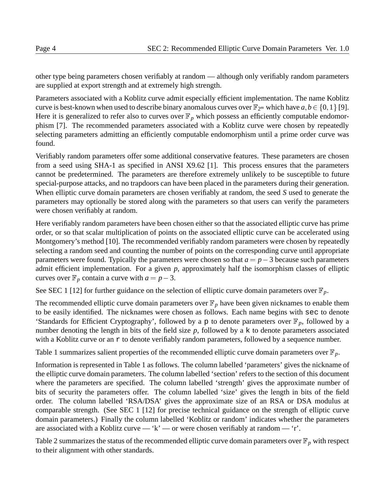other type being parameters chosen verifiably at random — although only verifiably random parameters are supplied at export strength and at extremely high strength.

Parameters associated with a Koblitz curve admit especially efficient implementation. The name Koblitz curve is best-known when used to describe binary anomalous curves over  $\mathbb{F}_{2^m}$  which have  $a, b \in \{0, 1\}$  [9]. Here it is generalized to refer also to curves over  $\mathbb{F}_p$  which possess an efficiently computable endomorphism [7]. The recommended parameters associated with a Koblitz curve were chosen by repeatedly selecting parameters admitting an efficiently computable endomorphism until a prime order curve was found.

Verifiably random parameters offer some additional conservative features. These parameters are chosen from a seed using SHA-1 as specified in ANSI X9.62 [1]. This process ensures that the parameters cannot be predetermined. The parameters are therefore extremely unlikely to be susceptible to future special-purpose attacks, and no trapdoors can have been placed in the parameters during their generation. When elliptic curve domain parameters are chosen verifiably at random, the seed *S* used to generate the parameters may optionally be stored along with the parameters so that users can verify the parameters were chosen verifiably at random.

Here verifiably random parameters have been chosen either so that the associated elliptic curve has prime order, or so that scalar multiplication of points on the associated elliptic curve can be accelerated using Montgomery's method [10]. The recommended verifiably random parameters were chosen by repeatedly selecting a random seed and counting the number of points on the corresponding curve until appropriate parameters were found. Typically the parameters were chosen so that  $a = p - 3$  because such parameters admit efficient implementation. For a given *p*, approximately half the isomorphism classes of elliptic curves over  $\mathbb{F}_p$  contain a curve with  $a = p - 3$ .

See SEC 1 [12] for further guidance on the selection of elliptic curve domain parameters over  $\mathbb{F}_p$ .

The recommended elliptic curve domain parameters over  $\mathbb{F}_p$  have been given nicknames to enable them to be easily identified. The nicknames were chosen as follows. Each name begins with sec to denote 'Standards for Efficient Cryptography', followed by a p to denote parameters over  $\mathbb{F}_p$ , followed by a number denoting the length in bits of the field size *p*, followed by a k to denote parameters associated with a Koblitz curve or an  $r$  to denote verifiably random parameters, followed by a sequence number.

Table 1 summarizes salient properties of the recommended elliptic curve domain parameters over  $\mathbb{F}_p$ .

Information is represented in Table 1 as follows. The column labelled 'parameters' gives the nickname of the elliptic curve domain parameters. The column labelled 'section' refers to the section of this document where the parameters are specified. The column labelled 'strength' gives the approximate number of bits of security the parameters offer. The column labelled 'size' gives the length in bits of the field order. The column labelled 'RSA/DSA' gives the approximate size of an RSA or DSA modulus at comparable strength. (See SEC 1 [12] for precise technical guidance on the strength of elliptic curve domain parameters.) Finally the column labelled 'Koblitz or random' indicates whether the parameters are associated with a Koblitz curve — 'k' — or were chosen verifiably at random — 'r'.

Table 2 summarizes the status of the recommended elliptic curve domain parameters over  $\mathbb{F}_p$  with respect to their alignment with other standards.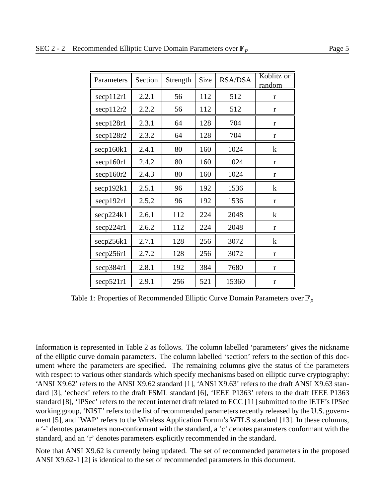| Parameters                 | Section | Strength | <b>Size</b> | <b>RSA/DSA</b> | Koblitz or<br>random |
|----------------------------|---------|----------|-------------|----------------|----------------------|
| $\operatorname{secp112r1}$ | 2.2.1   | 56       | 112         | 512            | r                    |
| $\secp112r2$               | 2.2.2   | 56       | 112         | 512            | r                    |
| secp128r1                  | 2.3.1   | 64       | 128         | 704            | r                    |
| secp128r2                  | 2.3.2   | 64       | 128         | 704            | r                    |
| seq160k1                   | 2.4.1   | 80       | 160         | 1024           | $\bf k$              |
| secp160r1                  | 2.4.2   | 80       | 160         | 1024           | r                    |
| secp160r2                  | 2.4.3   | 80       | 160         | 1024           | r                    |
| secp192k1                  | 2.5.1   | 96       | 192         | 1536           | $\bf k$              |
| $\secp192r1$               | 2.5.2   | 96       | 192         | 1536           | r                    |
| secp224k1                  | 2.6.1   | 112      | 224         | 2048           | $\mathbf{k}$         |
| secp224r1                  | 2.6.2   | 112      | 224         | 2048           | r                    |
| secp256k1                  | 2.7.1   | 128      | 256         | 3072           | $\bf k$              |
| $\secp256r1$               | 2.7.2   | 128      | 256         | 3072           | r                    |
| secp384r1                  | 2.8.1   | 192      | 384         | 7680           | r                    |
| $\secp 521r1$              | 2.9.1   | 256      | 521         | 15360          | $\mathbf{r}$         |

Table 1: Properties of Recommended Elliptic Curve Domain Parameters over  $\mathbb{F}_p$ 

Information is represented in Table 2 as follows. The column labelled 'parameters' gives the nickname of the elliptic curve domain parameters. The column labelled 'section' refers to the section of this document where the parameters are specified. The remaining columns give the status of the parameters with respect to various other standards which specify mechanisms based on elliptic curve cryptography: 'ANSI X9.62' refers to the ANSI X9.62 standard [1], 'ANSI X9.63' refers to the draft ANSI X9.63 standard [3], 'echeck' refers to the draft FSML standard [6], 'IEEE P1363' refers to the draft IEEE P1363 standard [8], 'IPSec' refers to the recent internet draft related to ECC [11] submitted to the IETF's IPSec working group, 'NIST' refers to the list of recommended parameters recently released by the U.S. government [5], and 'WAP' refers to the Wireless Application Forum's WTLS standard [13]. In these columns, a '-' denotes parameters non-conformant with the standard, a 'c' denotes parameters conformant with the standard, and an 'r' denotes parameters explicitly recommended in the standard.

Note that ANSI X9.62 is currently being updated. The set of recommended parameters in the proposed ANSI X9.62-1 [2] is identical to the set of recommended parameters in this document.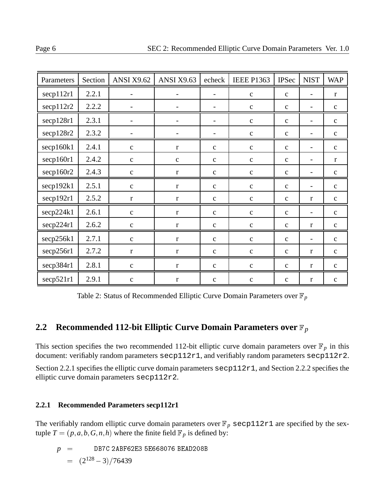| Parameters   | Section | <b>ANSI X9.62</b> | <b>ANSI X9.63</b> | echeck                   | <b>IEEE P1363</b> | <b>IPSec</b> | <b>NIST</b>              | <b>WAP</b>   |
|--------------|---------|-------------------|-------------------|--------------------------|-------------------|--------------|--------------------------|--------------|
| secp112r1    | 2.2.1   |                   |                   |                          | $\mathbf{C}$      | $\mathbf{C}$ |                          | $\mathbf{r}$ |
| secp112r2    | 2.2.2   |                   |                   | $\overline{\phantom{a}}$ | $\mathbf{C}$      | $\mathbf{C}$ |                          | $\mathbf{C}$ |
| secp128r1    | 2.3.1   |                   |                   | $\overline{\phantom{a}}$ | $\mathbf{C}$      | $\mathbf{C}$ | $\blacksquare$           | $\mathbf{c}$ |
| secp128r2    | 2.3.2   |                   |                   | $\overline{\phantom{a}}$ | $\mathbf c$       | $\mathbf{C}$ |                          | $\mathbf{C}$ |
| secp160k1    | 2.4.1   | $\mathbf{C}$      | $\mathbf{r}$      | $\mathbf{c}$             | $\mathbf{C}$      | $\mathbf{C}$ |                          | $\mathbf{C}$ |
| secp160r1    | 2.4.2   | $\mathbf{C}$      | $\mathbf c$       | $\mathbf{c}$             | $\mathbf{C}$      | $\mathbf{C}$ |                          | $\mathbf{r}$ |
| secp160r2    | 2.4.3   | $\mathbf c$       | $\mathbf{r}$      | $\mathbf c$              | $\mathbf{C}$      | $\mathbf{C}$ |                          | $\mathbf{C}$ |
| secp192k1    | 2.5.1   | $\mathbf{C}$      | $\mathbf{r}$      | $\mathbf{C}$             | $\mathbf{C}$      | $\mathbf{C}$ | $\overline{\phantom{a}}$ | $\mathbf{C}$ |
| secp192r1    | 2.5.2   | $\mathbf r$       | $\mathbf{r}$      | $\mathbf c$              | $\mathbf{C}$      | $\mathbf{C}$ | $\mathbf{r}$             | $\mathbf{C}$ |
| secp224k1    | 2.6.1   | $\mathbf{C}$      | $\mathbf{r}$      | $\mathbf{c}$             | $\mathbf{C}$      | $\mathbf{C}$ | $\overline{\phantom{a}}$ | $\mathbf{c}$ |
| secp224r1    | 2.6.2   | $\mathbf C$       | $\mathbf r$       | $\mathbf c$              | $\mathbf c$       | $\mathbf c$  | $\bf r$                  | $\mathbf{C}$ |
| secp256k1    | 2.7.1   | $\mathbf{C}$      | $\mathbf{r}$      | $\mathbf{C}$             | $\mathbf{C}$      | $\mathbf{C}$ | $\blacksquare$           | $\mathbf{C}$ |
| secp256r1    | 2.7.2   | $\mathbf r$       | $\bf r$           | $\mathbf c$              | $\mathbf C$       | $\mathbf{C}$ | $\bf r$                  | $\mathbf{C}$ |
| secp384r1    | 2.8.1   | $\mathbf C$       | $\bf r$           | $\mathbf{C}$             | $\mathbf c$       | $\mathbf{C}$ | $\mathbf{r}$             | $\mathbf{C}$ |
| $\secp521r1$ | 2.9.1   | $\mathbf{C}$      | $\mathbf{r}$      | $\mathbf{C}$             | $\mathbf{C}$      | $\mathbf{C}$ | $\mathbf{r}$             | $\mathbf C$  |

Table 2: Status of Recommended Elliptic Curve Domain Parameters over  $\mathbb{F}_p$ 

## **2.2 Recommended 112-bit Elliptic Curve Domain Parameters over**  $\mathbb{F}_p$

This section specifies the two recommended 112-bit elliptic curve domain parameters over  $\mathbb{F}_p$  in this document: verifiably random parameters secp112r1, and verifiably random parameters secp112r2.

Section 2.2.1 specifies the elliptic curve domain parameters secp112r1, and Section 2.2.2 specifies the elliptic curve domain parameters secp112r2.

#### **2.2.1 Recommended Parameters secp112r1**

The verifiably random elliptic curve domain parameters over  $\mathbb{F}_p$  secp112r1 are specified by the sextuple  $T = (p, a, b, G, n, h)$  where the finite field  $\mathbb{F}_p$  is defined by:

$$
p = \text{DB7C 2ABF62E3 5E668076 BEAD208B}
$$
  
=  $(2^{128} - 3)/76439$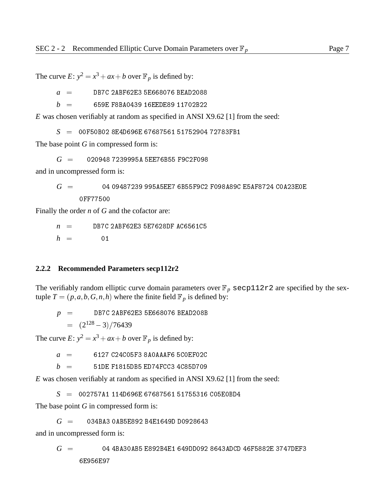The curve  $E: y^2 = x^3 + ax + b$  over  $\mathbb{F}_p$  is defined by:

 $a =$ DB7C 2ABF62E3 5E668076 BEAD2088

 $b = 659E$  F8BA0439 16EEDE89 11702B22

*E* was chosen verifiably at random as specified in ANSI X9.62 [1] from the seed:

*S* <sup>=</sup> 00F50B02 8E4D696E 67687561 51752904 72783FB1

The base point *G* in compressed form is:

*G* <sup>=</sup> 020948 7239995A 5EE76B55 F9C2F098

and in uncompressed form is:

*G* <sup>=</sup> 04 09487239 995A5EE7 6B55F9C2 F098A89C E5AF8724 C0A23E0E 0FF77500

Finally the order *n* of *G* and the cofactor are:

 $n =$  DB7C 2ABF62E3 5E7628DF AC6561C5

 $h = 01$ 

#### **2.2.2 Recommended Parameters secp112r2**

The verifiably random elliptic curve domain parameters over  $\mathbb{F}_p$  secp112r2 are specified by the sextuple  $T = (p, a, b, G, n, h)$  where the finite field  $\mathbb{F}_p$  is defined by:

*p* <sup>=</sup> DB7C 2ABF62E3 5E668076 BEAD208B  $=$   $(2^{128}-3)/76439$ 

The curve  $E: y^2 = x^3 + ax + b$  over  $\mathbb{F}_p$  is defined by:

 $a = 6127 \text{ C}24 \text{C}05$ F3 8A0AAAF6 5C0EF02C

 $b = 51$ DE F1815DB5 ED74FCC3 4C85D709

*E* was chosen verifiably at random as specified in ANSI X9.62 [1] from the seed:

*S* <sup>=</sup> 002757A1 114D696E 67687561 51755316 C05E0BD4

The base point *G* in compressed form is:

*G* <sup>=</sup> 034BA3 0AB5E892 B4E1649D D0928643

and in uncompressed form is:

*G* <sup>=</sup> 04 4BA30AB5 E892B4E1 649DD092 8643ADCD 46F5882E 3747DEF3

6E956E97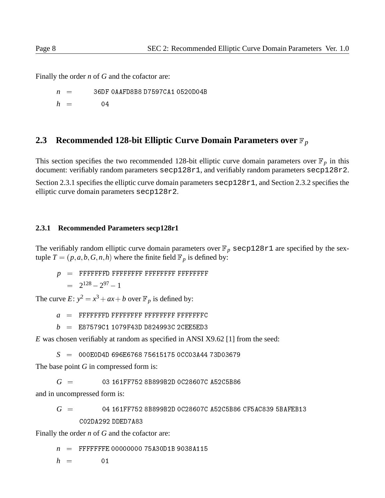Finally the order *n* of *G* and the cofactor are:

*n* <sup>=</sup> 36DF 0AAFD8B8 D7597CA1 0520D04B  $h = 04$ 

## **2.3 Recommended 128-bit Elliptic Curve Domain Parameters over**  $\mathbb{F}_p$

This section specifies the two recommended 128-bit elliptic curve domain parameters over  $\mathbb{F}_p$  in this document: verifiably random parameters secp128r1, and verifiably random parameters secp128r2.

Section 2.3.1 specifies the elliptic curve domain parameters  $\epsilon$  secp128r1, and Section 2.3.2 specifies the elliptic curve domain parameters secp128r2.

#### **2.3.1 Recommended Parameters secp128r1**

The verifiably random elliptic curve domain parameters over  $\mathbb{F}_p$  secp128r1 are specified by the sextuple  $T = (p, a, b, G, n, h)$  where the finite field  $\mathbb{F}_p$  is defined by:

*p* <sup>=</sup> FFFFFFFD FFFFFFFF FFFFFFFF FFFFFFFF  $= 2^{128} - 2^{97} - 1$ 

The curve  $E: y^2 = x^3 + ax + b$  over  $\mathbb{F}_p$  is defined by:

- $a =$  FFFFFFFD FFFFFFFF FFFFFFFFFFFFFFFC
- *b* <sup>=</sup> E87579C1 1079F43D D824993C 2CEE5ED3

*E* was chosen verifiably at random as specified in ANSI X9.62 [1] from the seed:

*S* <sup>=</sup> 000E0D4D 696E6768 75615175 0CC03A44 73D03679

The base point *G* in compressed form is:

 $G = 03161$  FF752 8B899B2D 0C28607C A52C5B86

and in uncompressed form is:

*G* <sup>=</sup> 04 161FF752 8B899B2D 0C28607C A52C5B86 CF5AC839 5BAFEB13 C02DA292 DDED7A83

Finally the order *n* of *G* and the cofactor are:

*n* <sup>=</sup> FFFFFFFE 00000000 75A30D1B 9038A115

 $h = 01$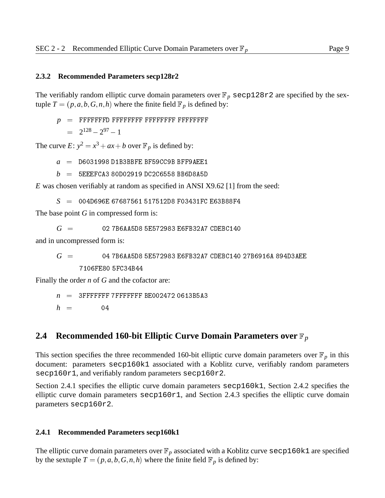#### **2.3.2 Recommended Parameters secp128r2**

The verifiably random elliptic curve domain parameters over  $\mathbb{F}_p$  secp128r2 are specified by the sextuple  $T = (p, a, b, G, n, h)$  where the finite field  $\mathbb{F}_p$  is defined by:

$$
p = \text{FFFFFFD FFFFFFF FFFFFFF FFFFFFF F \text{FFFFFFF} }
$$
  
=  $2^{128} - 2^{97} - 1$ 

The curve  $E: y^2 = x^3 + ax + b$  over  $\mathbb{F}_p$  is defined by:

 $a =$  D6031998 D1B3BBFE BF59CC9B BFF9AEE1

 $b = 5$ EEEFCA3 80D02919 DC2C6558 BB6D8A5D

*E* was chosen verifiably at random as specified in ANSI X9.62 [1] from the seed:

*S* <sup>=</sup> 004D696E 67687561 517512D8 F03431FC E63B88F4

The base point *G* in compressed form is:

*G* <sup>=</sup> 02 7B6AA5D8 5E572983 E6FB32A7 CDEBC140

and in uncompressed form is:

*G* <sup>=</sup> 04 7B6AA5D8 5E572983 E6FB32A7 CDEBC140 27B6916A 894D3AEE

Finally the order *n* of *G* and the cofactor are:

 $n = 3$ FFFFFFF 7FFFFFFFF BE002472 0613B5A3

 $h = 04$ 

#### **2.4 Recommended 160-bit Elliptic Curve Domain Parameters over**  $\mathbb{F}_p$

This section specifies the three recommended 160-bit elliptic curve domain parameters over  $\mathbb{F}_p$  in this document: parameters secp160k1 associated with a Koblitz curve, verifiably random parameters secp160r1, and verifiably random parameters secp160r2.

Section 2.4.1 specifies the elliptic curve domain parameters secp160k1, Section 2.4.2 specifies the elliptic curve domain parameters secp160r1, and Section 2.4.3 specifies the elliptic curve domain parameters secp160r2.

#### **2.4.1 Recommended Parameters secp160k1**

The elliptic curve domain parameters over  $\mathbb{F}_p$  associated with a Koblitz curve  $\epsilon \in \mathbb{R}^1$  are specified by the sextuple  $T = (p, a, b, G, n, h)$  where the finite field  $\mathbb{F}_p$  is defined by: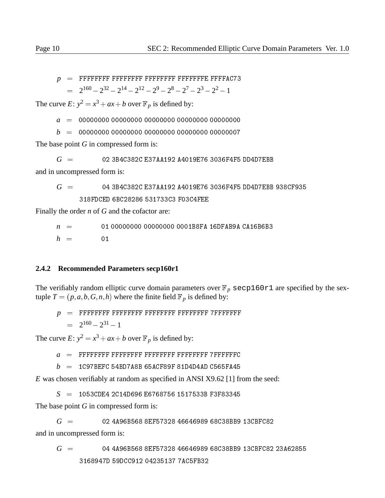- *p* <sup>=</sup> FFFFFFFF FFFFFFFF FFFFFFFF FFFFFFFE FFFFAC73
	- $= 2^{160} 2^{32} 2^{14} 2^{12} 2^9 2^8 2^7 2^3 2^2 1$

The curve *E*:  $y^2 = x^3 + ax + b$  over  $\mathbb{F}_p$  is defined by:

*a* <sup>=</sup> 00000000 00000000 00000000 00000000 00000000

*b* <sup>=</sup> 00000000 00000000 00000000 00000000 00000007

The base point *G* in compressed form is:

*G* <sup>=</sup> 02 3B4C382C E37AA192 A4019E76 3036F4F5 DD4D7EBB

and in uncompressed form is:

$$
G~= \qquad \qquad 04\ 3B4C382C\ E37AA192\ A4019E76\ 3036F4F5\ DD4D7EBB\ 938CF935 \\ \qquad \qquad 318FDCED\ 6BC28286\ 531733C3\ F03C4FEE
$$

Finally the order *n* of *G* and the cofactor are:

 $n = 01000000000000000000001B8FA 16DFAB9A CA16B6B3$ 

 $h = 01$ 

#### **2.4.2 Recommended Parameters secp160r1**

The verifiably random elliptic curve domain parameters over  $\mathbb{F}_p$  secp160r1 are specified by the sextuple  $T = (p, a, b, G, n, h)$  where the finite field  $\mathbb{F}_p$  is defined by:

*p* <sup>=</sup> FFFFFFFF FFFFFFFF FFFFFFFF FFFFFFFF 7FFFFFFF <sup>=</sup> 2<sup>160</sup> 2<sup>31</sup> 1

The curve  $E: y^2 = x^3 + ax + b$  over  $\mathbb{F}_p$  is defined by:

*a* <sup>=</sup> FFFFFFFF FFFFFFFF FFFFFFFF FFFFFFFF 7FFFFFFC

 $b = 1$ C97BEFC 54BD7A8B 65ACF89F 81D4D4AD C565FA45

*E* was chosen verifiably at random as specified in ANSI X9.62 [1] from the seed:

*S* <sup>=</sup> 1053CDE4 2C14D696 E6768756 1517533B F3F83345

The base point *G* in compressed form is:

*G* <sup>=</sup> 02 4A96B568 8EF57328 46646989 68C38BB9 13CBFC82 and in uncompressed form is:

*G* <sup>=</sup> 04 4A96B568 8EF57328 46646989 68C38BB9 13CBFC82 23A62855 3168947D 59DCC912 04235137 7AC5FB32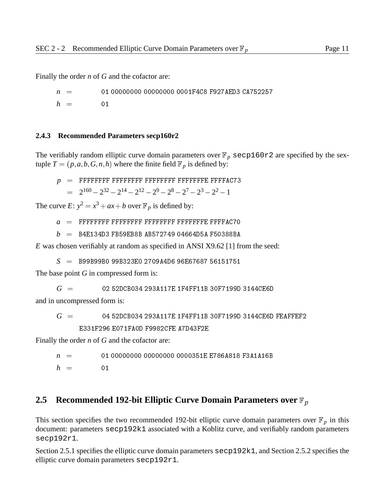Finally the order *n* of *G* and the cofactor are:

*n* <sup>=</sup> 01 00000000 00000000 0001F4C8 F927AED3 CA752257  $h = 01$ 

#### **2.4.3 Recommended Parameters secp160r2**

The verifiably random elliptic curve domain parameters over  $\mathbb{F}_p$  secp160r2 are specified by the sextuple  $T = (p, a, b, G, n, h)$  where the finite field  $\mathbb{F}_p$  is defined by:

*p* <sup>=</sup> FFFFFFFF FFFFFFFF FFFFFFFF FFFFFFFE FFFFAC73  $= 2^{160} - 2^{32} - 2^{14} - 2^{12} - 2^9 - 2^8 - 2^7 - 2^3 - 2^2 - 1$ 

The curve  $E: y^2 = x^3 + ax + b$  over  $\mathbb{F}_p$  is defined by:

- *a* <sup>=</sup> FFFFFFFF FFFFFFFF FFFFFFFF FFFFFFFE FFFFAC70
- $b = B4E134D3 FB59EB8B$  AB572749 04664D5A F50388BA

*E* was chosen verifiably at random as specified in ANSI X9.62 [1] from the seed:

*S* <sup>=</sup> B99B99B0 99B323E0 2709A4D6 96E67687 56151751

The base point *G* in compressed form is:

*G* <sup>=</sup> 02 52DCB034 293A117E 1F4FF11B 30F7199D 3144CE6D

and in uncompressed form is:

$$
G = 0452DCBO34293A117E1F4FF11B30F7199D3144CE6D FEAFFEF2
$$
  
E331F296 E071FA0D F9982CFE A7D43F2E

Finally the order *n* of *G* and the cofactor are:

$$
n = 01 0000000 0000000 0000351E E786A818 F3A1A16B
$$
  

$$
h = 01
$$

#### **2.5 Recommended 192-bit Elliptic Curve Domain Parameters over**  $\mathbb{F}_p$

This section specifies the two recommended 192-bit elliptic curve domain parameters over  $\mathbb{F}_p$  in this document: parameters secp192k1 associated with a Koblitz curve, and verifiably random parameters secp192r1.

Section 2.5.1 specifies the elliptic curve domain parameters secp192k1, and Section 2.5.2 specifies the elliptic curve domain parameters secp192r1.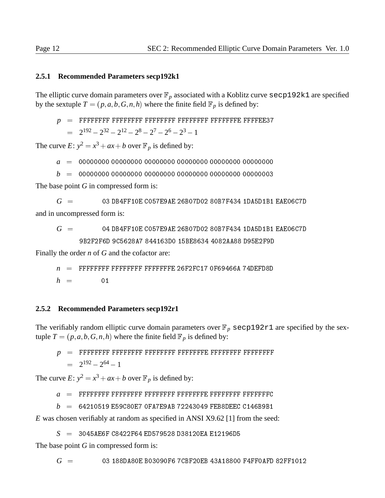#### **2.5.1 Recommended Parameters secp192k1**

The elliptic curve domain parameters over  $\mathbb{F}_p$  associated with a Koblitz curve  $\sec p192k1$  are specified by the sextuple  $T = (p, a, b, G, n, h)$  where the finite field  $\mathbb{F}_p$  is defined by:

*p* <sup>=</sup> FFFFFFFF FFFFFFFF FFFFFFFF FFFFFFFF FFFFFFFE FFFFEE37  $= 2^{192} - 2^{32} - 2^{12} - 2^8 - 2^7 - 2^6 - 2^3 - 1$ 

The curve  $E: y^2 = x^3 + ax + b$  over  $\mathbb{F}_p$  is defined by:

*a* <sup>=</sup> 00000000 00000000 00000000 00000000 00000000 00000000

*b* <sup>=</sup> 00000000 00000000 00000000 00000000 00000000 00000003

The base point *G* in compressed form is:

 $G = 03$  DB4FF10E C057E9AE 26B07D02 80B7F434 1DA5D1B1 EAE06C7D and in uncompressed form is:

*G* <sup>=</sup> 04 DB4FF10E C057E9AE 26B07D02 80B7F434 1DA5D1B1 EAE06C7D

9B2F2F6D 9C5628A7 844163D0 15BE8634 4082AA88 D95E2F9D

Finally the order *n* of *G* and the cofactor are:

 $n =$  FFFFFFFF FFFFFFFF FFFFFFFFE 26F2FC17 0F69466A 74DEFD8D  $h = 01$ 

#### **2.5.2 Recommended Parameters secp192r1**

The verifiably random elliptic curve domain parameters over  $\mathbb{F}_p$  secp192r1 are specified by the sextuple  $T = (p, a, b, G, n, h)$  where the finite field  $\mathbb{F}_p$  is defined by:

*p* <sup>=</sup> FFFFFFFF FFFFFFFF FFFFFFFF FFFFFFFE FFFFFFFF FFFFFFFF  $= 2^{192} - 2^{64} - 1$ 

The curve  $E: y^2 = x^3 + ax + b$  over  $\mathbb{F}_p$  is defined by:

*a* <sup>=</sup> FFFFFFFF FFFFFFFF FFFFFFFF FFFFFFFE FFFFFFFF FFFFFFFC

 $b = 64210519$  E59C80E7 OFA7E9AB 72243049 FEB8DEEC C146B9B1

*E* was chosen verifiably at random as specified in ANSI X9.62 [1] from the seed:

*S* <sup>=</sup> 3045AE6F C8422F64 ED579528 D38120EA E12196D5

The base point *G* in compressed form is:

*G* <sup>=</sup> 03 188DA80E B03090F6 7CBF20EB 43A18800 F4FF0AFD 82FF1012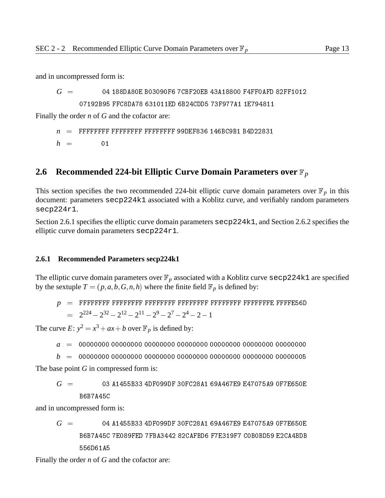and in uncompressed form is:

*G* <sup>=</sup> 04 188DA80E B03090F6 7CBF20EB 43A18800 F4FF0AFD 82FF1012 07192B95 FFC8DA78 631011ED 6B24CDD5 73F977A1 1E794811

Finally the order *n* of *G* and the cofactor are:

 $n =$  FFFFFFFF FFFFFFFF FFFFFFFFF 99DEF836 146BC9B1 B4D22831  $h = 01$ 

## **2.6 Recommended 224-bit Elliptic Curve Domain Parameters over**  $\mathbb{F}_p$

This section specifies the two recommended 224-bit elliptic curve domain parameters over  $\mathbb{F}_p$  in this document: parameters secp224k1 associated with a Koblitz curve, and verifiably random parameters secp224r1.

Section 2.6.1 specifies the elliptic curve domain parameters secp224k1, and Section 2.6.2 specifies the elliptic curve domain parameters secp224r1.

#### **2.6.1 Recommended Parameters secp224k1**

The elliptic curve domain parameters over  $\mathbb{F}_p$  associated with a Koblitz curve secp224k1 are specified by the sextuple  $T = (p, a, b, G, n, h)$  where the finite field  $\mathbb{F}_p$  is defined by:

*p* <sup>=</sup> FFFFFFFF FFFFFFFF FFFFFFFF FFFFFFFF FFFFFFFF FFFFFFFE FFFFE56D  $= 2^{224} - 2^{32} - 2^{12} - 2^{11} - 2^9 - 2^7 - 2^4 - 2 - 1$ 

The curve  $E: y^2 = x^3 + ax + b$  over  $\mathbb{F}_p$  is defined by:

- *a* <sup>=</sup> 00000000 00000000 00000000 00000000 00000000 00000000 00000000
- *b* <sup>=</sup> 00000000 00000000 00000000 00000000 00000000 00000000 00000005

The base point *G* in compressed form is:

```
G = 03 A1455B33 4DF099DF 30FC28A1 69A467E9 E47075A9 0F7E650E
     B6B7A45C
```
and in uncompressed form is:

*G* <sup>=</sup> 04 A1455B33 4DF099DF 30FC28A1 69A467E9 E47075A9 0F7E650E B6B7A45C 7E089FED 7FBA3442 82CAFBD6 F7E319F7 C0B0BD59 E2CA4BDB 556D61A5

Finally the order *n* of *G* and the cofactor are: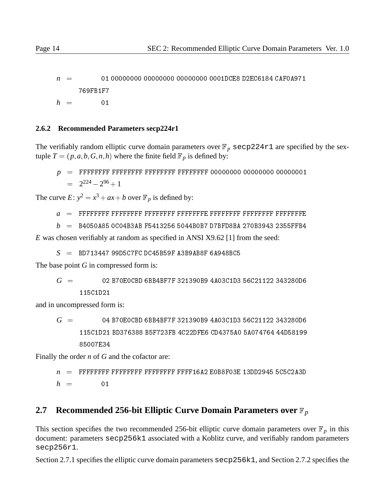*n* <sup>=</sup> 01 00000000 00000000 00000000 0001DCE8 D2EC6184 CAF0A971 769FB1F7  $h = 01$ 

#### **2.6.2 Recommended Parameters secp224r1**

The verifiably random elliptic curve domain parameters over  $\mathbb{F}_p$  secp224r1 are specified by the sextuple  $T = (p, a, b, G, n, h)$  where the finite field  $\mathbb{F}_p$  is defined by:

*p* <sup>=</sup> FFFFFFFF FFFFFFFF FFFFFFFF FFFFFFFF 00000000 00000000 00000001  $= 2^{224} - 2^{96} + 1$ 

The curve  $E: y^2 = x^3 + ax + b$  over  $\mathbb{F}_p$  is defined by:

- *a* <sup>=</sup> FFFFFFFF FFFFFFFF FFFFFFFF FFFFFFFE FFFFFFFF FFFFFFFF FFFFFFFE
- *b* <sup>=</sup> B4050A85 0C04B3AB F5413256 5044B0B7 D7BFD8BA 270B3943 2355FFB4

*E* was chosen verifiably at random as specified in ANSI X9.62 [1] from the seed:

 $S = B$ D713447 99D5C7FC DC45B59F A3B9AB8F 6A948BC5

The base point *G* in compressed form is:

*G* <sup>=</sup> 02 B70E0CBD 6BB4BF7F 321390B9 4A03C1D3 56C21122 343280D6

and in uncompressed form is:

*G* <sup>=</sup> 04 B70E0CBD 6BB4BF7F 321390B9 4A03C1D3 56C21122 343280D6 115C1D21 BD376388 B5F723FB 4C22DFE6 CD4375A0 5A074764 44D58199 85007E34

Finally the order *n* of *G* and the cofactor are:

```
n = FFFFFFFF FFFFFFFF FFFFFFFF FFFF16A2 E0B8F03E 13DD2945 5C5C2A3D
h = 01
```
## **2.7 Recommended 256-bit Elliptic Curve Domain Parameters over**  $\mathbb{F}_p$

This section specifies the two recommended 256-bit elliptic curve domain parameters over  $\mathbb{F}_p$  in this document: parameters secp256k1 associated with a Koblitz curve, and verifiably random parameters secp256r1.

Section 2.7.1 specifies the elliptic curve domain parameters secp256k1, and Section 2.7.2 specifies the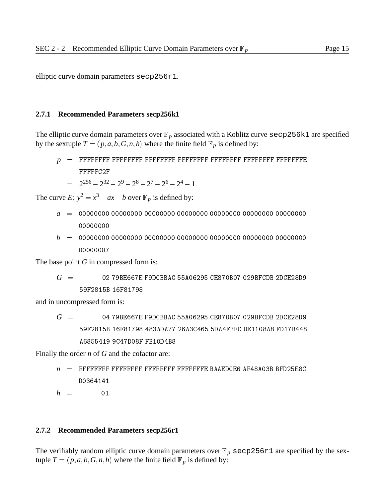elliptic curve domain parameters secp256r1.

#### **2.7.1 Recommended Parameters secp256k1**

The elliptic curve domain parameters over  $\mathbb{F}_p$  associated with a Koblitz curve  $\sec p 256k1$  are specified by the sextuple  $T = (p, a, b, G, n, h)$  where the finite field  $\mathbb{F}_p$  is defined by:

- *p* <sup>=</sup> FFFFFFFF FFFFFFFF FFFFFFFF FFFFFFFF FFFFFFFF FFFFFFFF FFFFFFFE FFFFFC2F
	- $= 2^{256} 2^{32} 2^9 2^8 2^7 2^6 2^4 1$

The curve  $E: y^2 = x^3 + ax + b$  over  $\mathbb{F}_p$  is defined by:

- *a* <sup>=</sup> 00000000 00000000 00000000 00000000 00000000 00000000 00000000
- *b* <sup>=</sup> 00000000 00000000 00000000 00000000 00000000 00000000 00000000 00000007

The base point *G* in compressed form is:

$$
G~= \qquad \qquad 02\ 79BE667E\ F9DCBBAC\ 55A06295\ CE870B07\ 029BFCDB\ 2DCE28D9 \\ \qquad \qquad 59F2815B\ 16F81798
$$

and in uncompressed form is:

$$
G = 0479BE667E F9DCBBAC 55A06295 CE870BO7 029BFCDB 2DCE28D9
$$
\n
$$
59F2815B 16F81798 483ADA77 26A3C465 5DA4FBFC 0E1108A8 FD17B448
$$
\n
$$
A6855419 9C47D08F FB10D4B8
$$

Finally the order *n* of *G* and the cofactor are:

*n* <sup>=</sup> FFFFFFFF FFFFFFFF FFFFFFFF FFFFFFFE BAAEDCE6 AF48A03B BFD25E8C D0364141

 $h = 01$ 

#### **2.7.2 Recommended Parameters secp256r1**

The verifiably random elliptic curve domain parameters over  $\mathbb{F}_p$  secp256r1 are specified by the sextuple  $T = (p, a, b, G, n, h)$  where the finite field  $\mathbb{F}_p$  is defined by: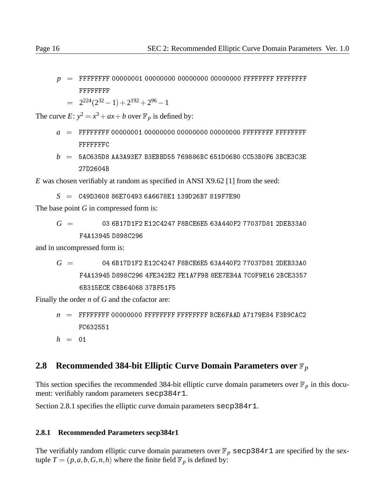*p* <sup>=</sup> FFFFFFFF 00000001 00000000 00000000 00000000 FFFFFFFF FFFFFFFF FFFFFFFF

$$
= 2^{224}(2^{32} - 1) + 2^{192} + 2^{96} - 1
$$

The curve  $E: y^2 = x^3 + ax + b$  over  $\mathbb{F}_p$  is defined by:

- *a* <sup>=</sup> FFFFFFFF 00000001 00000000 00000000 00000000 FFFFFFFF FFFFFFFF **FFFFFFFC**
- $b = 5A$ C635D8 AA3A93E7 B3EBBD55 769886BC 651D06B0 CC53B0F6 3BCE3C3E 27D2604B

*E* was chosen verifiably at random as specified in ANSI X9.62 [1] from the seed:

*S* <sup>=</sup> C49D3608 86E70493 6A6678E1 139D26B7 819F7E90

The base point *G* in compressed form is:

$$
G\,\,=\qquad \qquad 03\,\,6B17D1F2\,\,E12C4247\,\,F8BCE6E5\,\,63A440F2\,\,77037D81\,\,2DEB33A0
$$
   
\n
$$
F4A13945\,\,D898C296
$$

and in uncompressed form is:

$$
G = 04 6B17D1F2 E12C4247 F8BCE6E5 63A440F2 77037D81 2DEB33A0
$$
  
\n
$$
F4A13945 D898C296 4FE342E2 FE1A7F9B 8EE7EBAA 7C0F9E16 2BCE3357
$$
  
\n
$$
6B315ECE CBB64068 37BF51F5
$$

Finally the order *n* of *G* and the cofactor are:

- *n* <sup>=</sup> FFFFFFFF 00000000 FFFFFFFF FFFFFFFF BCE6FAAD A7179E84 F3B9CAC2 FC632551
- $h = 01$

## **2.8 Recommended 384-bit Elliptic Curve Domain Parameters over**  $\mathbb{F}_p$

This section specifies the recommended 384-bit elliptic curve domain parameters over  $\mathbb{F}_p$  in this document: verifiably random parameters secp384r1.

Section 2.8.1 specifies the elliptic curve domain parameters secp384r1.

#### **2.8.1 Recommended Parameters secp384r1**

The verifiably random elliptic curve domain parameters over  $\mathbb{F}_p$  secp384r1 are specified by the sextuple  $T = (p, a, b, G, n, h)$  where the finite field  $\mathbb{F}_p$  is defined by: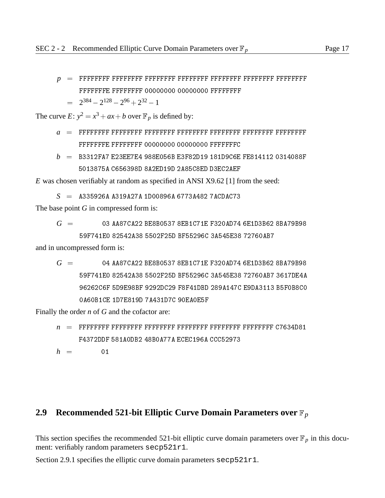#### *p* <sup>=</sup> FFFFFFFF FFFFFFFF FFFFFFFF FFFFFFFF FFFFFFFF FFFFFFFF FFFFFFFF

FFFFFFFE FFFFFFFF 00000000 00000000 FFFFFFFF

$$
= 2^{384} - 2^{128} - 2^{96} + 2^{32} - 1
$$

The curve  $E: y^2 = x^3 + ax + b$  over  $\mathbb{F}_p$  is defined by:

- *a* <sup>=</sup> FFFFFFFF FFFFFFFF FFFFFFFF FFFFFFFF FFFFFFFF FFFFFFFF FFFFFFFF
- $b = B3312FA7 E23EE7E4 988E056B E3F82D19 181D9C6E FE814112 0314088F$ 5013875A C656398D 8A2ED19D 2A85C8ED D3EC2AEF

*E* was chosen verifiably at random as specified in ANSI X9.62 [1] from the seed:

*S* <sup>=</sup> A335926A A319A27A 1D00896A 6773A482 7ACDAC73

The base point *G* in compressed form is:

$$
G~= ~~03\; \text{AAS7CA22}\; \text{BESB0537}\; 8 \text{EB1C71E}\; F320 \text{AD74}\; 6 \text{E1D3B62}\; 8 \text{BA79B98} \\ 59 \text{F741E0}\; 82542 \text{A38}\; 5502 \text{F25D}\; \text{BF55296C}\; 3 \text{A545E38}\; 72760 \text{AB7}
$$

and in uncompressed form is:

*G* <sup>=</sup> 04 AA87CA22 BE8B0537 8EB1C71E F320AD74 6E1D3B62 8BA79B98 59F741E0 82542A38 5502F25D BF55296C 3A545E38 72760AB7 3617DE4A 0A60B1CE 1D7E819D 7A431D7C 90EA0E5F

Finally the order *n* of *G* and the cofactor are:

*n* <sup>=</sup> FFFFFFFF FFFFFFFF FFFFFFFF FFFFFFFF FFFFFFFF FFFFFFFF C7634D81 F4372DDF 581A0DB2 48B0A77A ECEC196A CCC52973

 $h = 01$ 

#### **2.9 Recommended 521-bit Elliptic Curve Domain Parameters over**  $\mathbb{F}_p$

This section specifies the recommended 521-bit elliptic curve domain parameters over  $\mathbb{F}_p$  in this document: verifiably random parameters secp521r1.

Section 2.9.1 specifies the elliptic curve domain parameters secp521r1.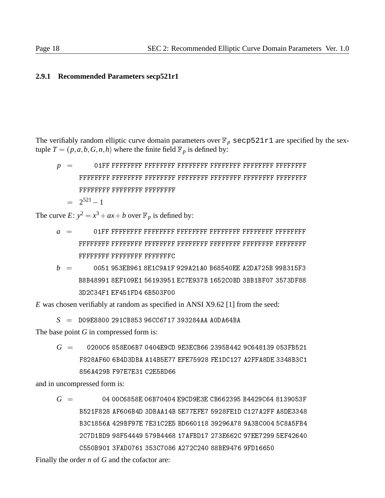#### **2.9.1 Recommended Parameters secp521r1**

The verifiably random elliptic curve domain parameters over  $\mathbb{F}_p$  secp521r1 are specified by the sextuple  $T = (p, a, b, G, n, h)$  where the finite field  $\mathbb{F}_p$  is defined by:

*p* <sup>=</sup> 01FF FFFFFFFF FFFFFFFF FFFFFFFF FFFFFFFF FFFFFFFF FFFFFFFF FFFFFFFF FFFFFFFF FFFFFFFF  $= 2^{521}-1$ 

The curve  $E: y^2 = x^3 + ax + b$  over  $\mathbb{F}_p$  is defined by:

- *a* <sup>=</sup> 01FF FFFFFFFF FFFFFFFF FFFFFFFF FFFFFFFF FFFFFFFF FFFFFFFF FFFFFFFF FFFFFFFF FFFFFFFC
- *b* <sup>=</sup> 0051 953EB961 8E1C9A1F 929A21A0 B68540EE A2DA725B 99B315F3 B8B48991 8EF109E1 56193951 EC7E937B 1652C0BD 3BB1BF07 3573DF88 3D2C34F1 EF451FD4 6B503F00

*E* was chosen verifiably at random as specified in ANSI X9.62 [1] from the seed:

*S* <sup>=</sup> D09E8800 291CB853 96CC6717 393284AA A0DA64BA

The base point *G* in compressed form is:

*G* <sup>=</sup> 0200C6 858E06B7 0404E9CD 9E3ECB66 2395B442 9C648139 053FB521 F828AF60 6B4D3DBA A14B5E77 EFE75928 FE1DC127 A2FFA8DE 3348B3C1 856A429B F97E7E31 C2E5BD66

and in uncompressed form is:

*G* <sup>=</sup> 04 00C6858E 06B70404 E9CD9E3E CB662395 B4429C64 8139053F B521F828 AF606B4D 3DBAA14B 5E77EFE7 5928FE1D C127A2FF A8DE3348 B3C1856A 429BF97E 7E31C2E5 BD660118 39296A78 9A3BC004 5C8A5FB4 2C7D1BD9 98F54449 579B4468 17AFBD17 273E662C 97EE7299 5EF42640

Finally the order *n* of *G* and the cofactor are: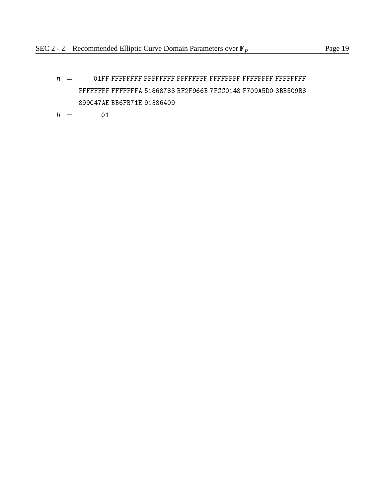- *n* <sup>=</sup> 01FF FFFFFFFF FFFFFFFF FFFFFFFF FFFFFFFF FFFFFFFF FFFFFFFF FFFFFFFF FFFFFFFA 51868783 BF2F966B 7FCC0148 F709A5D0 3BB5C9B8 899C47AE BB6FB71E 91386409
- $h = 01$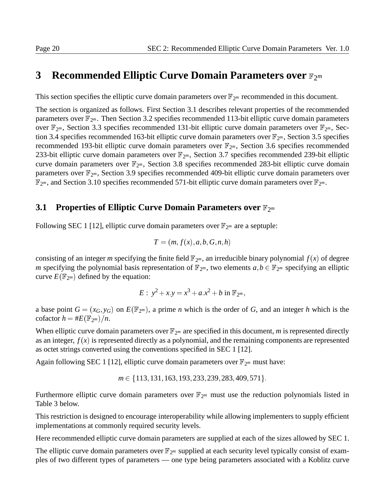## **3** Recommended Elliptic Curve Domain Parameters over  $\mathbb{F}_{2^m}$

This section specifies the elliptic curve domain parameters over  $\mathbb{F}_{2^m}$  recommended in this document.

The section is organized as follows. First Section 3.1 describes relevant properties of the recommended parameters over  $\mathbb{F}_{2^m}$ . Then Section 3.2 specifies recommended 113-bit elliptic curve domain parameters over  $\mathbb{F}_{2^m}$ , Section 3.3 specifies recommended 131-bit elliptic curve domain parameters over  $\mathbb{F}_{2^m}$ , Section 3.4 specifies recommended 163-bit elliptic curve domain parameters over  $\mathbb{F}_{2^m}$ , Section 3.5 specifies recommended 193-bit elliptic curve domain parameters over  $\mathbb{F}_{2^m}$ , Section 3.6 specifies recommended 233-bit elliptic curve domain parameters over  $\mathbb{F}_{2^m}$ , Section 3.7 specifies recommended 239-bit elliptic curve domain parameters over  $\mathbb{F}_{2^m}$ , Section 3.8 specifies recommended 283-bit elliptic curve domain parameters over  $\mathbb{F}_{2^m}$ , Section 3.9 specifies recommended 409-bit elliptic curve domain parameters over  $\mathbb{F}_{2^m}$ , and Section 3.10 specifies recommended 571-bit elliptic curve domain parameters over  $\mathbb{F}_{2^m}$ .

#### **3.1 Properties of Elliptic Curve Domain Parameters over**  $\mathbb{F}_{2^m}$

Following SEC 1 [12], elliptic curve domain parameters over  $\mathbb{F}_{2^m}$  are a septuple:

$$
T = (m, f(x), a, b, G, n, h)
$$

consisting of an integer *m* specifying the finite field  $\mathbb{F}_{2^m}$ , an irreducible binary polynomial  $f(x)$  of degree *m* specifying the polynomial basis representation of  $\mathbb{F}_{2^m}$ , two elements  $a, b \in \mathbb{F}_{2^m}$  specifying an elliptic curve  $E(\mathbb{F}_{2^m})$  defined by the equation:

$$
E: y^2 + x \cdot y = x^3 + a \cdot x^2 + b \text{ in } \mathbb{F}_{2^m},
$$

a base point  $G = (x_G, y_G)$  on  $E(\mathbb{F}_{2^m})$ , a prime *n* which is the order of *G*, and an integer *h* which is the cofactor  $h = \#E(\mathbb{F}_{2^m})/n$ .

When elliptic curve domain parameters over  $\mathbb{F}_{2^m}$  are specified in this document, *m* is represented directly as an integer,  $f(x)$  is represented directly as a polynomial, and the remaining components are represented as octet strings converted using the conventions specified in SEC 1 [12].

Again following SEC 1 [12], elliptic curve domain parameters over  $\mathbb{F}_{2^m}$  must have:

*m*  $\in$  {113, 131, 163, 193, 233, 239, 283, 409, 571}.

Furthermore elliptic curve domain parameters over  $\mathbb{F}_{2^m}$  must use the reduction polynomials listed in Table 3 below.

This restriction is designed to encourage interoperability while allowing implementers to supply efficient implementations at commonly required security levels.

Here recommended elliptic curve domain parameters are supplied at each of the sizes allowed by SEC 1.

The elliptic curve domain parameters over  $\mathbb{F}_{2^m}$  supplied at each security level typically consist of examples of two different types of parameters — one type being parameters associated with a Koblitz curve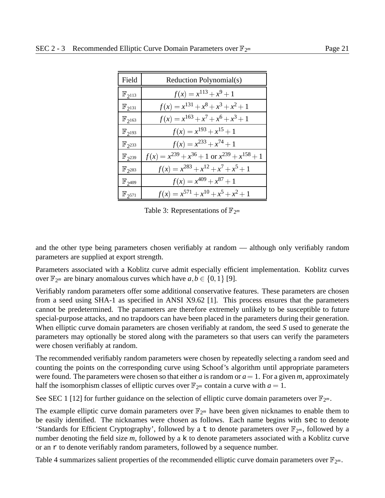| Field                  | Reduction Polynomial(s)                                  |
|------------------------|----------------------------------------------------------|
| $\mathbb{F}_{2^{113}}$ | $f(x) = x^{113} + x^9 + 1$                               |
| $\mathbb{F}_{2^{131}}$ | $f(x) = x^{131} + x^8 + x^3 + x^2 + 1$                   |
| $\mathbb{F}_{2^{163}}$ | $f(x) = x^{163} + x^7 + x^6 + x^3 + 1$                   |
| $\mathbb{F}_{2^{193}}$ | $f(x) = x^{193} + x^{15} + 1$                            |
| $\mathbb{F}_{2^{233}}$ | $f(x) = x^{233} + x^{74} + 1$                            |
| $\mathbb{F}_{2^{239}}$ | $f(x) = x^{239} + x^{36} + 1$ or $x^{239} + x^{158} + 1$ |
| $\mathbb{F}_{2^{283}}$ | $f(x) = x^{283} + x^{12} + x^7 + x^5 + 1$                |
| $\mathbb{F}_{2^{409}}$ | $f(x) = x^{409} + x^{87} + 1$                            |
| $\mathbb{F}_{2^{571}}$ | $f(x) = x^{571} + x^{10} + x^5 + x^2 + 1$                |

Table 3: Representations of  $\mathbb{F}_{2^m}$ 

and the other type being parameters chosen verifiably at random — although only verifiably random parameters are supplied at export strength.

Parameters associated with a Koblitz curve admit especially efficient implementation. Koblitz curves over  $\mathbb{F}_{2^m}$  are binary anomalous curves which have  $a, b \in \{0, 1\}$  [9].

Verifiably random parameters offer some additional conservative features. These parameters are chosen from a seed using SHA-1 as specified in ANSI X9.62 [1]. This process ensures that the parameters cannot be predetermined. The parameters are therefore extremely unlikely to be susceptible to future special-purpose attacks, and no trapdoors can have been placed in the parameters during their generation. When elliptic curve domain parameters are chosen verifiably at random, the seed *S* used to generate the parameters may optionally be stored along with the parameters so that users can verify the parameters were chosen verifiably at random.

The recommended verifiably random parameters were chosen by repeatedly selecting a random seed and counting the points on the corresponding curve using Schoof's algorithm until appropriate parameters were found. The parameters were chosen so that either *a* is random or  $a = 1$ . For a given *m*, approximately half the isomorphism classes of elliptic curves over  $\mathbb{F}_{2^m}$  contain a curve with  $a = 1$ .

See SEC 1 [12] for further guidance on the selection of elliptic curve domain parameters over  $\mathbb{F}_{2^m}$ .

The example elliptic curve domain parameters over  $\mathbb{F}_{2^m}$  have been given nicknames to enable them to be easily identified. The nicknames were chosen as follows. Each name begins with sec to denote 'Standards for Efficient Cryptography', followed by a t to denote parameters over  $\mathbb{F}_{2^m}$ , followed by a number denoting the field size *m*, followed by a k to denote parameters associated with a Koblitz curve or an  $r$  to denote verifiably random parameters, followed by a sequence number.

Table 4 summarizes salient properties of the recommended elliptic curve domain parameters over  $\mathbb{F}_{2^m}$ .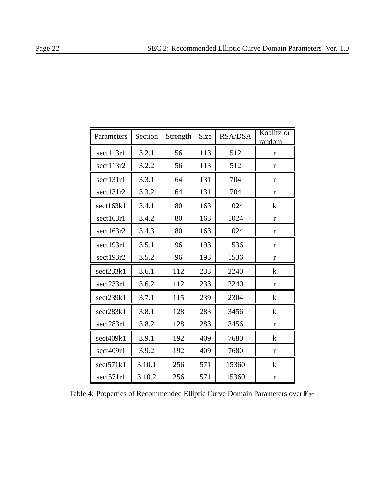| Parameters | Section | Strength | Size | <b>RSA/DSA</b> | Koblitz or<br>random |
|------------|---------|----------|------|----------------|----------------------|
| sect113r1  | 3.2.1   | 56       | 113  | 512            | $\mathbf{r}$         |
| sect113r2  | 3.2.2   | 56       | 113  | 512            | r                    |
| sect131r1  | 3.3.1   | 64       | 131  | 704            | $\mathbf{r}$         |
| sect131r2  | 3.3.2   | 64       | 131  | 704            | $\mathbf{r}$         |
| sect163k1  | 3.4.1   | 80       | 163  | 1024           | k                    |
| sect163r1  | 3.4.2   | 80       | 163  | 1024           | $\mathbf{r}$         |
| sect163r2  | 3.4.3   | 80       | 163  | 1024           | $\mathbf{r}$         |
| sect193r1  | 3.5.1   | 96       | 193  | 1536           | r                    |
| sect193r2  | 3.5.2   | 96       | 193  | 1536           | $\mathbf r$          |
| sect233k1  | 3.6.1   | 112      | 233  | 2240           | $\bf k$              |
| sect233r1  | 3.6.2   | 112      | 233  | 2240           | r                    |
| sect239k1  | 3.7.1   | 115      | 239  | 2304           | k                    |
| sect283k1  | 3.8.1   | 128      | 283  | 3456           | k                    |
| sect283r1  | 3.8.2   | 128      | 283  | 3456           | $\mathbf{r}$         |
| sect409k1  | 3.9.1   | 192      | 409  | 7680           | $\bf k$              |
| sect409r1  | 3.9.2   | 192      | 409  | 7680           | $\mathbf{r}$         |
| sect571k1  | 3.10.1  | 256      | 571  | 15360          | $\bf k$              |
| sect571r1  | 3.10.2  | 256      | 571  | 15360          | $\mathbf r$          |

Table 4: Properties of Recommended Elliptic Curve Domain Parameters over  $\mathbb{F}_{2^m}$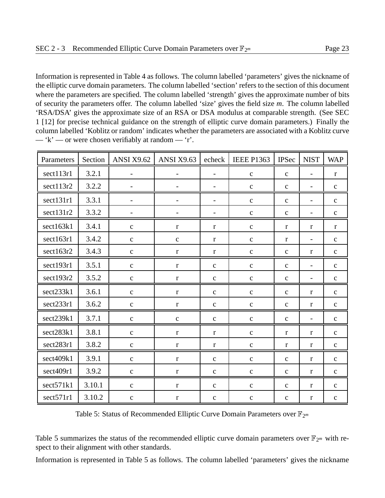Information is represented in Table 4 as follows. The column labelled 'parameters' gives the nickname of the elliptic curve domain parameters. The column labelled 'section' refers to the section of this document where the parameters are specified. The column labelled 'strength' gives the approximate number of bits of security the parameters offer. The column labelled 'size' gives the field size *m*. The column labelled 'RSA/DSA' gives the approximate size of an RSA or DSA modulus at comparable strength. (See SEC 1 [12] for precise technical guidance on the strength of elliptic curve domain parameters.) Finally the column labelled 'Koblitz or random' indicates whether the parameters are associated with a Koblitz curve  $-$  'k'  $-$  or were chosen verifiably at random  $-$  'r'.

| Parameters | Section | <b>ANSI X9.62</b>        | <b>ANSI X9.63</b>        | echeck                   | <b>IEEE P1363</b> | <b>IPSec</b> | <b>NIST</b>              | <b>WAP</b>   |
|------------|---------|--------------------------|--------------------------|--------------------------|-------------------|--------------|--------------------------|--------------|
| sect113r1  | 3.2.1   | $\overline{\phantom{0}}$ | $\overline{\phantom{a}}$ | $\overline{\phantom{a}}$ | $\mathbf{C}$      | $\mathbf c$  | $\overline{\phantom{a}}$ | $\mathbf{r}$ |
| sect113r2  | 3.2.2   | $\overline{\phantom{a}}$ | $\overline{\phantom{a}}$ | $\overline{\phantom{a}}$ | $\mathbf C$       | $\mathbf c$  | $\overline{\phantom{a}}$ | $\mathbf C$  |
| sect131r1  | 3.3.1   | $\qquad \qquad -$        | $\overline{\phantom{a}}$ | $\overline{\phantom{a}}$ | $\mathbf{C}$      | $\mathbf c$  | $\overline{\phantom{a}}$ | $\mathbf C$  |
| sect131r2  | 3.3.2   | $\overline{\phantom{0}}$ |                          | $\overline{\phantom{a}}$ | $\mathbf{C}$      | $\mathbf c$  | $\qquad \qquad -$        | $\mathbf{C}$ |
| sect163k1  | 3.4.1   | $\mathbf C$              | $\mathbf{r}$             | $\mathbf{r}$             | $\mathbf{C}$      | $\mathbf{r}$ | $\mathbf{r}$             | $\mathbf{r}$ |
| sect163r1  | 3.4.2   | $\mathbf{C}$             | $\mathbf{C}$             | $\bf r$                  | $\mathbf{C}$      | $\mathbf{r}$ | $\overline{\phantom{a}}$ | $\mathbf{C}$ |
| sect163r2  | 3.4.3   | $\mathbf{C}$             | $\bf r$                  | $\mathbf{r}$             | $\mathbf{C}$      | $\mathbf c$  | $\mathbf{r}$             | $\mathbf C$  |
| sect193r1  | 3.5.1   | $\mathbf{C}$             | $\mathbf r$              | $\mathbf{C}$             | $\mathbf{C}$      | $\mathbf C$  | $\overline{\phantom{a}}$ | $\mathbf{C}$ |
| sect193r2  | 3.5.2   | $\mathbf c$              | $\bf r$                  | $\mathbf{C}$             | $\mathbf c$       | $\mathbf c$  | $\overline{\phantom{a}}$ | $\mathbf{C}$ |
| sect233k1  | 3.6.1   | $\mathbf C$              | $\bf r$                  | $\mathbf{C}$             | $\mathbf C$       | $\mathbf c$  | $\mathbf{r}$             | $\mathbf C$  |
| sect233r1  | 3.6.2   | $\mathbf{C}$             | $\bf r$                  | $\mathbf c$              | $\mathbf{C}$      | $\mathbf c$  | $\bf r$                  | $\mathbf{C}$ |
| sect239k1  | 3.7.1   | $\mathbf{C}$             | $\mathbf{C}$             | $\mathbf C$              | $\mathbf{C}$      | $\mathbf C$  | $\overline{\phantom{a}}$ | $\mathbf C$  |
| sect283k1  | 3.8.1   | $\mathbf{C}$             | $\mathbf r$              | $\bf r$                  | $\mathbf{C}$      | $\mathbf r$  | $\bf r$                  | $\mathbf C$  |
| sect283r1  | 3.8.2   | $\mathbf c$              | $\bf r$                  | $\mathbf{r}$             | $\mathbf{C}$      | r            | r                        | $\mathbf c$  |
| sect409k1  | 3.9.1   | $\mathbf{C}$             | $\bf r$                  | $\mathbf{c}$             | $\mathbf c$       | $\mathbf{C}$ | $\mathbf{r}$             | $\mathbf{C}$ |
| sect409r1  | 3.9.2   | $\mathbf C$              | $\bf r$                  | $\mathbf c$              | $\mathbf C$       | $\mathbf c$  | $\bf r$                  | $\mathbf C$  |
| sect571k1  | 3.10.1  | $\mathbf{C}$             | $\bf r$                  | $\mathbf{C}$             | $\mathbf{C}$      | $\mathbf C$  | $\bf r$                  | $\mathbf C$  |
| sect571r1  | 3.10.2  | $\mathbf{C}$             | $\mathbf r$              | $\mathbf C$              | $\mathbf C$       | $\mathbf{C}$ | $\bf r$                  | $\mathbf C$  |

Table 5: Status of Recommended Elliptic Curve Domain Parameters over  $\mathbb{F}_{2^m}$ 

Table 5 summarizes the status of the recommended elliptic curve domain parameters over  $\mathbb{F}_{2^m}$  with respect to their alignment with other standards.

Information is represented in Table 5 as follows. The column labelled 'parameters' gives the nickname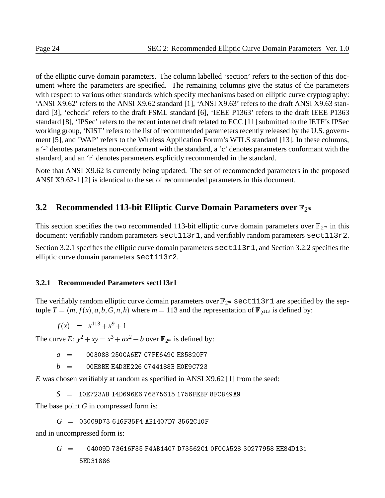of the elliptic curve domain parameters. The column labelled 'section' refers to the section of this document where the parameters are specified. The remaining columns give the status of the parameters with respect to various other standards which specify mechanisms based on elliptic curve cryptography: 'ANSI X9.62' refers to the ANSI X9.62 standard [1], 'ANSI X9.63' refers to the draft ANSI X9.63 standard [3], 'echeck' refers to the draft FSML standard [6], 'IEEE P1363' refers to the draft IEEE P1363 standard [8], 'IPSec' refers to the recent internet draft related to ECC [11] submitted to the IETF's IPSec working group, 'NIST' refers to the list of recommended parameters recently released by the U.S. government [5], and 'WAP' refers to the Wireless Application Forum's WTLS standard [13]. In these columns, a '-' denotes parameters non-conformant with the standard, a 'c' denotes parameters conformant with the standard, and an 'r' denotes parameters explicitly recommended in the standard.

Note that ANSI X9.62 is currently being updated. The set of recommended parameters in the proposed ANSI X9.62-1 [2] is identical to the set of recommended parameters in this document.

## **3.2 Recommended 113-bit Elliptic Curve Domain Parameters over**  $\mathbb{F}_{2^m}$

This section specifies the two recommended 113-bit elliptic curve domain parameters over  $\mathbb{F}_{2^m}$  in this document: verifiably random parameters sect113r1, and verifiably random parameters sect113r2.

Section 3.2.1 specifies the elliptic curve domain parameters sect 113r1, and Section 3.2.2 specifies the elliptic curve domain parameters sect113r2.

#### **3.2.1 Recommended Parameters sect113r1**

The verifiably random elliptic curve domain parameters over  $\mathbb{F}_{2^m}$  sect113r1 are specified by the septuple  $T = (m, f(x), a, b, G, n, h)$  where  $m = 113$  and the representation of  $\mathbb{F}_{2^{113}}$  is defined by:

$$
f(x) = x^{113} + x^9 + 1
$$

The curve  $E: y^2 + xy = x^3 + ax^2 + b$  over  $\mathbb{F}_{2^m}$  is defined by:

*a* <sup>=</sup> 003088 250CA6E7 C7FE649C E85820F7

*b* <sup>=</sup> 00E8BE E4D3E226 0744188B E0E9C723

*E* was chosen verifiably at random as specified in ANSI X9.62 [1] from the seed:

*S* <sup>=</sup> 10E723AB 14D696E6 76875615 1756FEBF 8FCB49A9

The base point *G* in compressed form is:

*G* <sup>=</sup> 03009D73 616F35F4 AB1407D7 3562C10F

and in uncompressed form is:

*G* <sup>=</sup> 04009D 73616F35 F4AB1407 D73562C1 0F00A528 30277958 EE84D131

5ED31886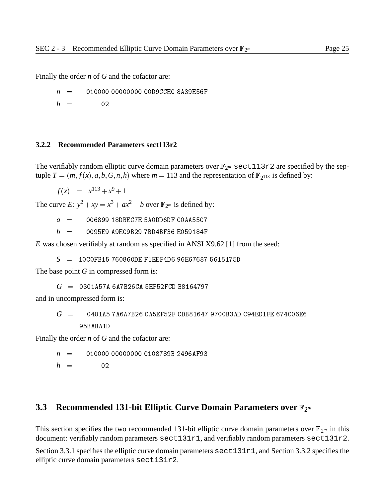Finally the order *n* of *G* and the cofactor are:

*n* <sup>=</sup> 010000 00000000 00D9CCEC 8A39E56F

 $h = 02$ 

#### **3.2.2 Recommended Parameters sect113r2**

The verifiably random elliptic curve domain parameters over  $\mathbb{F}_{2^m}$  sect113r2 are specified by the septuple  $T = (m, f(x), a, b, G, n, h)$  where  $m = 113$  and the representation of  $\mathbb{F}_{2^{113}}$  is defined by:

 $f(x) = x^{113} + x^9 + 1$ 

The curve *E*:  $y^2 + xy = x^3 + ax^2 + b$  over  $\mathbb{F}_{2^m}$  is defined by:

 $a = 006899$  18DBEC7E 5A0DD6DF C0AA55C7

 $b = 0095E9$  A9EC9B29 7BD4BF36 E059184F

*E* was chosen verifiably at random as specified in ANSI X9.62 [1] from the seed:

*S* <sup>=</sup> 10C0FB15 760860DE F1EEF4D6 96E67687 5615175D

The base point *G* in compressed form is:

*G* <sup>=</sup> 0301A57A 6A7B26CA 5EF52FCD B8164797

and in uncompressed form is:

# *G* <sup>=</sup> 0401A5 7A6A7B26 CA5EF52F CDB81647 9700B3AD C94ED1FE 674C06E6

Finally the order *n* of *G* and the cofactor are:

*n* <sup>=</sup> 010000 00000000 0108789B 2496AF93

 $h = 02$ 

#### **3.3 Recommended 131-bit Elliptic Curve Domain Parameters over**  $\mathbb{F}_{2^m}$

This section specifies the two recommended 131-bit elliptic curve domain parameters over  $\mathbb{F}_{2^m}$  in this document: verifiably random parameters sect131r1, and verifiably random parameters sect131r2.

Section 3.3.1 specifies the elliptic curve domain parameters  $\text{sect131r1}$ , and Section 3.3.2 specifies the elliptic curve domain parameters sect131r2.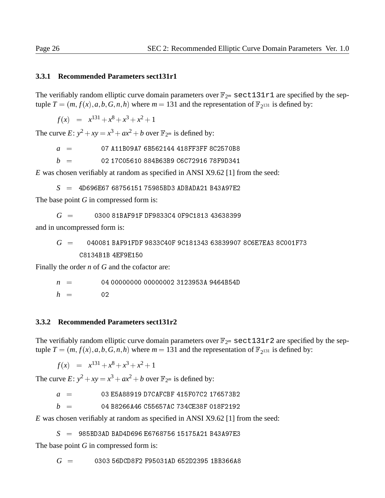#### **3.3.1 Recommended Parameters sect131r1**

The verifiably random elliptic curve domain parameters over  $\mathbb{F}_{2^m}$  sect131r1 are specified by the septuple  $T = (m, f(x), a, b, G, n, h)$  where  $m = 131$  and the representation of  $\mathbb{F}_{2^{131}}$  is defined by:

$$
f(x) = x^{131} + x^8 + x^3 + x^2 + 1
$$

The curve  $E: y^2 + xy = x^3 + ax^2 + b$  over  $\mathbb{F}_{2^m}$  is defined by:

*a* <sup>=</sup> 07 A11B09A7 6B562144 418FF3FF 8C2570B8

 $b = 02\,17C05610\,884B63B9\,C6C72916\,78F9D341$ 

*E* was chosen verifiably at random as specified in ANSI X9.62 [1] from the seed:

*S* <sup>=</sup> 4D696E67 68756151 75985BD3 ADBADA21 B43A97E2

The base point *G* in compressed form is:

$$
G = 0300 81 BAF91F DF9833C4 OF9C1813 43638399
$$

and in uncompressed form is:

*G* <sup>=</sup> 040081 BAF91FDF 9833C40F 9C181343 63839907 8C6E7EA3 8C001F73 C8134B1B 4EF9E150

Finally the order *n* of *G* and the cofactor are:

*n* <sup>=</sup> 04 00000000 00000002 3123953A 9464B54D

 $h = 02$ 

#### **3.3.2 Recommended Parameters sect131r2**

The verifiably random elliptic curve domain parameters over  $\mathbb{F}_{2^m}$  sect131r2 are specified by the septuple  $T = (m, f(x), a, b, G, n, h)$  where  $m = 131$  and the representation of  $\mathbb{F}_{2^{131}}$  is defined by:

 $f(x) = x^{131} + x^8 + x^3 + x^2 + 1$ 

The curve *E*:  $y^2 + xy = x^3 + ax^2 + b$  over  $\mathbb{F}_{2^m}$  is defined by:

*a* <sup>=</sup> 03 E5A88919 D7CAFCBF 415F07C2 176573B2

 $b = 04 B8266A46 C55657AC734CE38F018F2192$ 

*E* was chosen verifiably at random as specified in ANSI X9.62 [1] from the seed:

*S* <sup>=</sup> 985BD3AD BAD4D696 E6768756 15175A21 B43A97E3

The base point *G* in compressed form is:

*G* <sup>=</sup> 0303 56DCD8F2 F95031AD 652D2395 1BB366A8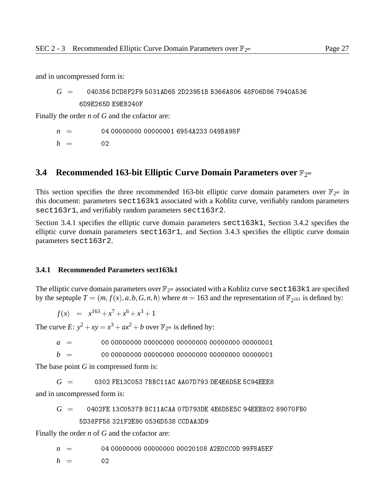*G* <sup>=</sup> 040356 DCD8F2F9 5031AD65 2D23951B B366A806 48F06D86 7940A536

6D9E265D E9EB240F

Finally the order *n* of *G* and the cofactor are:

*n* <sup>=</sup> 04 00000000 00000001 6954A233 049BA98F

 $h = 02$ 

## **3.4 Recommended 163-bit Elliptic Curve Domain Parameters over**  $\mathbb{F}_{2^m}$

This section specifies the three recommended 163-bit elliptic curve domain parameters over  $\mathbb{F}_{2^m}$  in this document: parameters sect163k1 associated with a Koblitz curve, verifiably random parameters sect163r1, and verifiably random parameters sect163r2.

Section 3.4.1 specifies the elliptic curve domain parameters sect163k1, Section 3.4.2 specifies the elliptic curve domain parameters  $sect163r1$ , and Section 3.4.3 specifies the elliptic curve domain parameters sect163r2.

#### **3.4.1 Recommended Parameters sect163k1**

The elliptic curve domain parameters over  $\mathbb{F}_{2^m}$  associated with a Koblitz curve sect163k1 are specified by the septuple  $T = (m, f(x), a, b, G, n, h)$  where  $m = 163$  and the representation of  $\mathbb{F}_{2^{163}}$  is defined by:

 $f(x) = x^{163} + x^7 + x^6 + x^3 + 1$ 

The curve  $E: y^2 + xy = x^3 + ax^2 + b$  over  $\mathbb{F}_{2^m}$  is defined by:

*a* <sup>=</sup> 00 00000000 00000000 00000000 00000000 00000001

*b* <sup>=</sup> 00 00000000 00000000 00000000 00000000 00000001

The base point *G* in compressed form is:

*G* <sup>=</sup> 0302 FE13C053 7BBC11AC AA07D793 DE4E6D5E 5C94EEE8

and in uncompressed form is:

$$
G~=~~0402FE~13C0537B~BC11ACAA~07D793DE~4E6D5E5C~94EEE802~89070FB0
$$
5D38FF58~321F2E80~0536D538 CCDAA3D9

Finally the order *n* of *G* and the cofactor are:

*n* <sup>=</sup> 04 00000000 00000000 00020108 A2E0CC0D 99F8A5EF

 $h = 02$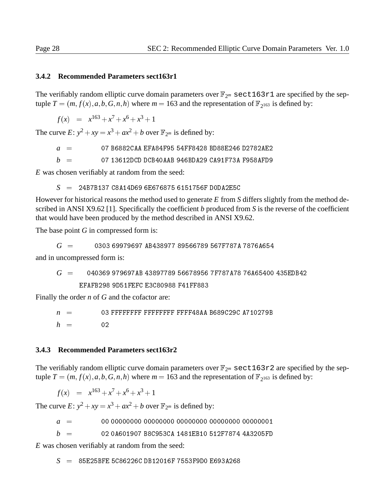#### **3.4.2 Recommended Parameters sect163r1**

The verifiably random elliptic curve domain parameters over  $\mathbb{F}_{2^m}$  sect163r1 are specified by the septuple  $T = (m, f(x), a, b, G, n, h)$  where  $m = 163$  and the representation of  $\mathbb{F}_{2^{163}}$  is defined by:

$$
f(x) = x^{163} + x^7 + x^6 + x^3 + 1
$$

The curve  $E: y^2 + xy = x^3 + ax^2 + b$  over  $\mathbb{F}_{2^m}$  is defined by:

*a* <sup>=</sup> 07 B6882CAA EFA84F95 54FF8428 BD88E246 D2782AE2

 $b = 07 13612$ DCD DCB40AAB 946BDA29 CA91F73A F958AFD9

*E* was chosen verifiably at random from the seed:

*S* <sup>=</sup> 24B7B137 C8A14D69 6E676875 6151756F D0DA2E5C

However for historical reasons the method used to generate *E* from *S* differs slightly from the method described in ANSI X9.62 [1]. Specifically the coefficient *b* produced from *S* is the reverse of the coefficient that would have been produced by the method described in ANSI X9.62.

The base point *G* in compressed form is:

$$
G \hspace{2.05cm} = \hspace{2.25cm} 0303 \hspace{1.25cm} 69979697 \hspace{1.25cm} \text{AB}438977 \hspace{1.25cm} 89566789 \hspace{1.25cm} 567 \text{F}787 \text{A} \hspace{1.25cm} 7876 \text{A}654
$$

and in uncompressed form is:

*G* <sup>=</sup> 040369 979697AB 43897789 56678956 7F787A78 76A65400 435EDB42 EFAFB298 9D51FEFC E3C80988 F41FF883

Finally the order *n* of *G* and the cofactor are:

 $n = 03$  FFFFFFFF FFFFFFFF FFFF48AA B689C29C A710279B  $h = 02$ 

#### **3.4.3 Recommended Parameters sect163r2**

The verifiably random elliptic curve domain parameters over  $\mathbb{F}_{2^m}$  sect163r2 are specified by the septuple  $T = (m, f(x), a, b, G, n, h)$  where  $m = 163$  and the representation of  $\mathbb{F}_{2^{163}}$  is defined by:

$$
f(x) = x^{163} + x^7 + x^6 + x^3 + 1
$$

The curve  $E: y^2 + xy = x^3 + ax^2 + b$  over  $\mathbb{F}_{2^m}$  is defined by:

*a* <sup>=</sup> 00 00000000 00000000 00000000 00000000 00000001

 $b = 020$ A601907 B8C953CA 1481EB10 512F7874 4A3205FD

*E* was chosen verifiably at random from the seed:

*S* <sup>=</sup> 85E25BFE 5C86226C DB12016F 7553F9D0 E693A268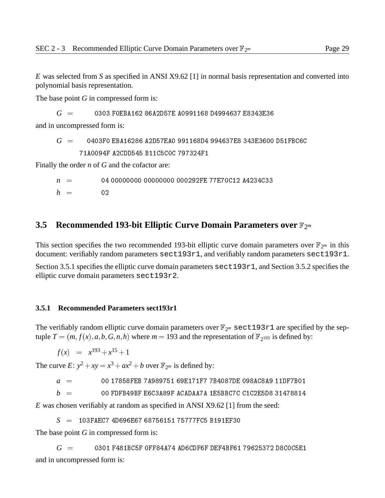*E* was selected from *S* as specified in ANSI X9.62 [1] in normal basis representation and converted into polynomial basis representation.

The base point *G* in compressed form is:

*G* <sup>=</sup> 0303 F0EBA162 86A2D57E A0991168 D4994637 E8343E36

and in uncompressed form is:

$$
G = 0403F0 EBA16286 A2D57EA0 991168D4 994637E8 343E3600 D51FBC6C
$$
  
71A0094F A2CDD545 B11C5COC 797324F1

Finally the order *n* of *G* and the cofactor are:

*n* <sup>=</sup> 04 00000000 00000000 000292FE 77E70C12 A4234C33  $h = 02$ 

#### **3.5 Recommended 193-bit Elliptic Curve Domain Parameters over**  $\mathbb{F}_{2^m}$

This section specifies the two recommended 193-bit elliptic curve domain parameters over  $\mathbb{F}_{2^m}$  in this document: verifiably random parameters sect193r1, and verifiably random parameters sect193r1.

Section 3.5.1 specifies the elliptic curve domain parameters sect 193r1, and Section 3.5.2 specifies the elliptic curve domain parameters sect193r2.

#### **3.5.1 Recommended Parameters sect193r1**

The verifiably random elliptic curve domain parameters over  $\mathbb{F}_{2^m}$  sect193r1 are specified by the septuple  $T = (m, f(x), a, b, G, n, h)$  where  $m = 193$  and the representation of  $\mathbb{F}_{2^{193}}$  is defined by:

$$
f(x) = x^{193} + x^{15} + 1
$$

The curve  $E: y^2 + xy = x^3 + ax^2 + b$  over  $\mathbb{F}_{2^m}$  is defined by:

*a* <sup>=</sup> 00 17858FEB 7A989751 69E171F7 7B4087DE 098AC8A9 11DF7B01

*b* <sup>=</sup> 00 FDFB49BF E6C3A89F ACADAA7A 1E5BBC7C C1C2E5D8 31478814

*E* was chosen verifiably at random as specified in ANSI X9.62 [1] from the seed:

*S* <sup>=</sup> 103FAEC7 4D696E67 68756151 75777FC5 B191EF30

The base point *G* in compressed form is:

*G* <sup>=</sup> 0301 F481BC5F 0FF84A74 AD6CDF6F DEF4BF61 79625372 D8C0C5E1 and in uncompressed form is: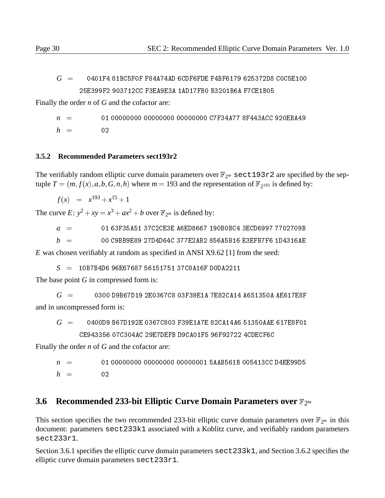Finally the order *n* of *G* and the cofactor are:

*n* <sup>=</sup> 01 00000000 00000000 00000000 C7F34A77 8F443ACC 920EBA49  $h = 02$ 

#### **3.5.2 Recommended Parameters sect193r2**

The verifiably random elliptic curve domain parameters over  $\mathbb{F}_{2^m}$  sect193r2 are specified by the septuple  $T = (m, f(x), a, b, G, n, h)$  where  $m = 193$  and the representation of  $\mathbb{F}_{2^{193}}$  is defined by:

 $f(x) = x^{193} + x^{15} + 1$ 

The curve  $E: y^2 + xy = x^3 + ax^2 + b$  over  $\mathbb{F}_{2^m}$  is defined by:

*a* <sup>=</sup> 01 63F35A51 37C2CE3E A6ED8667 190B0BC4 3ECD6997 7702709B

 $b = 00 \, \text{C}9B\text{B}9E\text{S}927D\text{4}D\text{6}4C\,377E\text{2}AB2\,856\text{A}5B\text{1}6E\text{S}2F\text{B}7F\text{6}1D\text{4}31\text{6}A\text{E}$ 

*E* was chosen verifiably at random as specified in ANSI X9.62 [1] from the seed:

*S* <sup>=</sup> 10B7B4D6 96E67687 56151751 37C8A16F D0DA2211

The base point *G* in compressed form is:

 $G = 0300$  D9B67D19 2E0367C8 03F39E1A 7E82CA14 A651350A AE617E8F and in uncompressed form is:

*G* <sup>=</sup> 0400D9 B67D192E 0367C803 F39E1A7E 82CA14A6 51350AAE 617E8F01 CE943356 07C304AC 29E7DEFB D9CA01F5 96F92722 4CDECF6C

Finally the order *n* of *G* and the cofactor are:

*n* <sup>=</sup> 01 00000000 00000000 00000001 5AAB561B 005413CC D4EE99D5

 $h = 02$ 

## **3.6 Recommended 233-bit Elliptic Curve Domain Parameters over**  $\mathbb{F}_{2^m}$

This section specifies the two recommended 233-bit elliptic curve domain parameters over  $\mathbb{F}_{2^m}$  in this document: parameters sect233k1 associated with a Koblitz curve, and verifiably random parameters sect233r1.

Section 3.6.1 specifies the elliptic curve domain parameters sect 233k1, and Section 3.6.2 specifies the elliptic curve domain parameters sect233r1.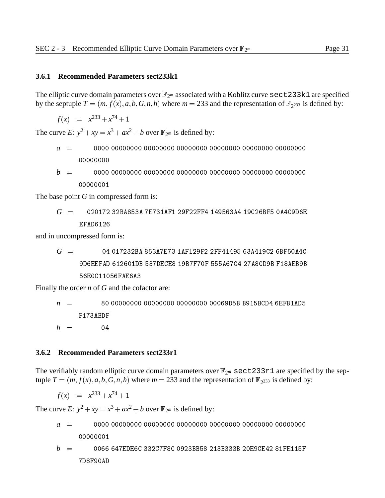#### **3.6.1 Recommended Parameters sect233k1**

The elliptic curve domain parameters over  $\mathbb{F}_{2^m}$  associated with a Koblitz curve sect 233k1 are specified by the septuple  $T = (m, f(x), a, b, G, n, h)$  where  $m = 233$  and the representation of  $\mathbb{F}_{2^{233}}$  is defined by:

 $f(x) = x^{233} + x^{74} + 1$ 

The curve  $E: y^2 + xy = x^3 + ax^2 + b$  over  $\mathbb{F}_{2^m}$  is defined by:

- *a* <sup>=</sup> 0000 00000000 00000000 00000000 00000000 00000000 00000000 00000000
- *b* <sup>=</sup> 0000 00000000 00000000 00000000 00000000 00000000 00000000 00000001

The base point *G* in compressed form is:

$$
G = 020172 32BAB53A 7E731AF1 29F22FF4 149563A4 19C26BF5 0A4C9D6E
$$
  
EFAD6126

and in uncompressed form is:

$$
G = 04 017232BA 853A7E73 1AF129F2 2FF41495 63A419C2 6BF50A4C
$$
\n
$$
9D6EEFAD 612601DB 537DECE8 19B7F70F 555A67C4 27A8CDBF18AEB9B
$$
\n
$$
56E0C11056FAE6A3
$$

Finally the order *n* of *G* and the cofactor are:

*n* <sup>=</sup> 80 00000000 00000000 00000000 00069D5B B915BCD4 6EFB1AD5 F173ABDF  $h = 04$ 

#### **3.6.2 Recommended Parameters sect233r1**

The verifiably random elliptic curve domain parameters over  $\mathbb{F}_{2^m}$  sect233r1 are specified by the septuple  $T = (m, f(x), a, b, G, n, h)$  where  $m = 233$  and the representation of  $\mathbb{F}_{2^{233}}$  is defined by:

$$
f(x) = x^{233} + x^{74} + 1
$$

The curve  $E: y^2 + xy = x^3 + ax^2 + b$  over  $\mathbb{F}_{2^m}$  is defined by:

*a* <sup>=</sup> 0000 00000000 00000000 00000000 00000000 00000000 00000000

$$
b = 0066 647 \text{EDE6C} 332 \text{CTF8C} 0923 \text{BB58} 213 \text{B}333 \text{B} 20 \text{E9CE42} 81 \text{FE115F}
$$
  
7D8F90AD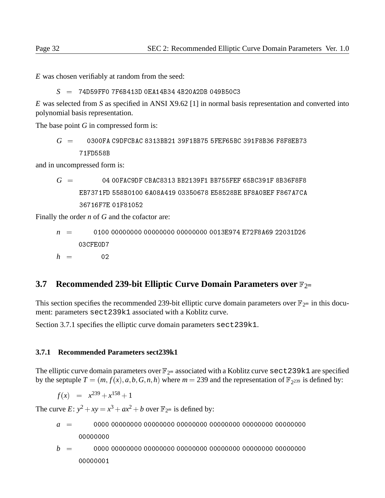*E* was chosen verifiably at random from the seed:

*S* <sup>=</sup> 74D59FF0 7F6B413D 0EA14B34 4B20A2DB 049B50C3

*E* was selected from *S* as specified in ANSI X9.62 [1] in normal basis representation and converted into polynomial basis representation.

The base point *G* in compressed form is:

$$
G~=~~0300FA C9DFCBAC 8313BB21 39F1BB75 5FEF65BC 391F8B36 F8F8EB73
$$
  
\n71FD558B

and in uncompressed form is:

$$
G = 0400FAC9DF CBAC8313 BB2139F1 BB755FEF 65BC391F 8B36F8F8
$$
   
\nEB7371FD 558B0100 6A08A419 03350678 E58528BE BFBAOBEF F867A7CA 36716F7E 01F81052

Finally the order *n* of *G* and the cofactor are:

*n* <sup>=</sup> 0100 00000000 00000000 00000000 0013E974 E72F8A69 22031D26 03CFF0D7

 $h = 02$ 

## **3.7 Recommended 239-bit Elliptic Curve Domain Parameters over**  $\mathbb{F}_{2^m}$

This section specifies the recommended 239-bit elliptic curve domain parameters over  $\mathbb{F}_{2^m}$  in this document: parameters sect239k1 associated with a Koblitz curve.

Section 3.7.1 specifies the elliptic curve domain parameters sect239k1.

#### **3.7.1 Recommended Parameters sect239k1**

The elliptic curve domain parameters over  $\mathbb{F}_{2^m}$  associated with a Koblitz curve sect 239k1 are specified by the septuple  $T = (m, f(x), a, b, G, n, h)$  where  $m = 239$  and the representation of  $\mathbb{F}_{2^{239}}$  is defined by:

$$
f(x) = x^{239} + x^{158} + 1
$$

The curve  $E: y^2 + xy = x^3 + ax^2 + b$  over  $\mathbb{F}_{2^m}$  is defined by:

- *a* <sup>=</sup> 0000 00000000 00000000 00000000 00000000 00000000 00000000
- *b* <sup>=</sup> 0000 00000000 00000000 00000000 00000000 00000000 00000000 00000001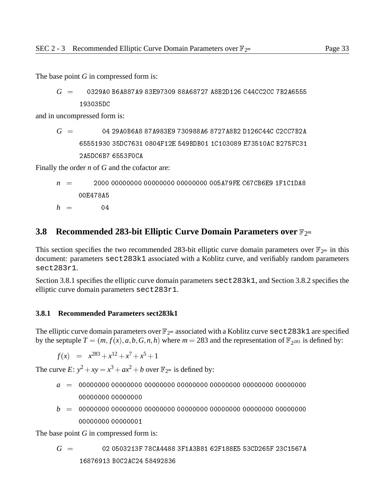The base point *G* in compressed form is:

$$
G~=~~0329A0~B6A887A9~83E97309~88A68727~A8B2D126~C44CC2CC~7B2A6555
$$
  
193035DC

and in uncompressed form is:

$$
G = 04\ 29A0B6A8\ 87A983E9\ 730988A6\ 8727A8B2\ D126C44C\ C2CC7B2A\ 65551930\ 35DC7631\ 0804F12E\ 549BDB01\ 1C103089\ E73510AC\ B275FC31\ 2A5DC6B7\ 6553F0CA
$$

Finally the order *n* of *G* and the cofactor are:

$$
n = 2000 00000000 00000000 00000000 005A79FE CG7CBE9 1F1C1DAB00E478A5
$$
h = 04
$$
$$

#### **3.8 Recommended 283-bit Elliptic Curve Domain Parameters over**  $\mathbb{F}_{2^m}$

This section specifies the two recommended 283-bit elliptic curve domain parameters over  $\mathbb{F}_{2^m}$  in this document: parameters sect283k1 associated with a Koblitz curve, and verifiably random parameters sect283r1.

Section 3.8.1 specifies the elliptic curve domain parameters sect283k1, and Section 3.8.2 specifies the elliptic curve domain parameters sect283r1.

#### **3.8.1 Recommended Parameters sect283k1**

The elliptic curve domain parameters over  $\mathbb{F}_{2^m}$  associated with a Koblitz curve sect 283k1 are specified by the septuple  $T = (m, f(x), a, b, G, n, h)$  where  $m = 283$  and the representation of  $\mathbb{F}_{2^{283}}$  is defined by:

$$
f(x) = x^{283} + x^{12} + x^7 + x^5 + 1
$$

The curve  $E: y^2 + xy = x^3 + ax^2 + b$  over  $\mathbb{F}_{2^m}$  is defined by:

- *a* <sup>=</sup> 00000000 00000000 00000000 00000000 00000000 00000000 00000000
- *b* <sup>=</sup> 00000000 00000000 00000000 00000000 00000000 00000000 00000000 00000000 00000001

The base point *G* in compressed form is:

$$
G = 02 0503213F 78CA4488 3F1A3B81 62F188E5 53CD265F 23C1567A
$$
  
16876913 B0C2AC24 58492836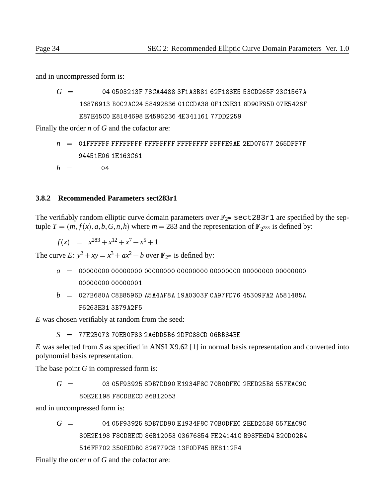and in uncompressed form is:

*G* <sup>=</sup> 04 0503213F 78CA4488 3F1A3B81 62F188E5 53CD265F 23C1567A 16876913 B0C2AC24 58492836 01CCDA38 0F1C9E31 8D90F95D 07E5426F E87E45C0 E8184698 E4596236 4E341161 77DD2259

Finally the order *n* of *G* and the cofactor are:

$$
n = 01 \text{FPFFF} \text{FPFFF} \text{FPFFF} \text{FPFFFF} \text{FPFFFF} \text{FPFFE9AE} \text{2ED07577 } 265 \text{DFFT} \text{FPF9451E06 } 1 \text{E163C61}
$$

 $h = 04$ 

#### **3.8.2 Recommended Parameters sect283r1**

The verifiably random elliptic curve domain parameters over  $\mathbb{F}_{2^m}$  sect283r1 are specified by the septuple  $T = (m, f(x), a, b, G, n, h)$  where  $m = 283$  and the representation of  $\mathbb{F}_{2^{283}}$  is defined by:

$$
f(x) = x^{283} + x^{12} + x^7 + x^5 + 1
$$

The curve  $E: y^2 + xy = x^3 + ax^2 + b$  over  $\mathbb{F}_{2^m}$  is defined by:

- *a* <sup>=</sup> 00000000 00000000 00000000 00000000 00000000 00000000 00000000 00000000 00000001
- *b* <sup>=</sup> 027B680A C8B8596D A5A4AF8A 19A0303F CA97FD76 45309FA2 A581485A F6263F31 3B79A2F5

*E* was chosen verifiably at random from the seed:

*S* <sup>=</sup> 77E2B073 70EB0F83 2A6DD5B6 2DFC88CD 06BB84BE

*E* was selected from *S* as specified in ANSI X9.62 [1] in normal basis representation and converted into polynomial basis representation.

The base point *G* in compressed form is:

$$
G~= ~~03~05F93925~8DBTDD90~E1934F8C~70B0DFEC~2EED25B8~557EAC9C~\\ 80E2E198~F8CDBECD~86B12053
$$

and in uncompressed form is:

*G* <sup>=</sup> 04 05F93925 8DB7DD90 E1934F8C 70B0DFEC 2EED25B8 557EAC9C 80E2E198 F8CDBECD 86B12053 03676854 FE24141C B98FE6D4 B20D02B4

Finally the order *n* of *G* and the cofactor are: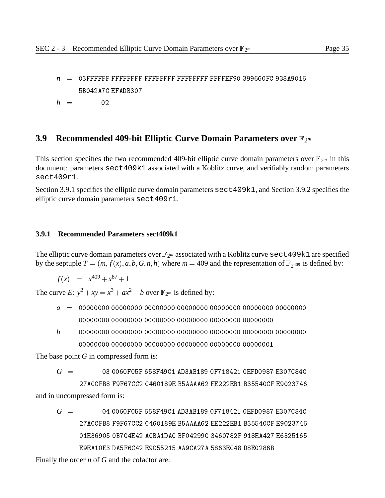*n* <sup>=</sup> 03FFFFFF FFFFFFFF FFFFFFFF FFFFFFFF FFFFEF90 399660FC 938A9016 5B042A7C EFADB307  $h = 02$ 

#### **3.9 Recommended 409-bit Elliptic Curve Domain Parameters over**  $\mathbb{F}_{2^m}$

This section specifies the two recommended 409-bit elliptic curve domain parameters over  $\mathbb{F}_{2^m}$  in this document: parameters sect409k1 associated with a Koblitz curve, and verifiably random parameters sect409r1.

Section 3.9.1 specifies the elliptic curve domain parameters sect409k1, and Section 3.9.2 specifies the elliptic curve domain parameters sect409r1.

#### **3.9.1 Recommended Parameters sect409k1**

The elliptic curve domain parameters over  $\mathbb{F}_{2^m}$  associated with a Koblitz curve sect 409k1 are specified by the septuple  $T = (m, f(x), a, b, G, n, h)$  where  $m = 409$  and the representation of  $\mathbb{F}_{2^{409}}$  is defined by:

$$
f(x) = x^{409} + x^{87} + 1
$$

The curve  $E: y^2 + xy = x^3 + ax^2 + b$  over  $\mathbb{F}_{2^m}$  is defined by:

- *a* <sup>=</sup> 00000000 00000000 00000000 00000000 00000000 00000000 00000000 00000000 00000000 00000000 00000000 00000000 00000000
- *b* <sup>=</sup> 00000000 00000000 00000000 00000000 00000000 00000000 00000000

The base point *G* in compressed form is:

*G* <sup>=</sup> 03 0060F05F 658F49C1 AD3AB189 0F718421 0EFD0987 E307C84C

27ACCFB8 F9F67CC2 C460189E B5AAAA62 EE222EB1 B35540CF E9023746 and in uncompressed form is:

*G* <sup>=</sup> 04 0060F05F 658F49C1 AD3AB189 0F718421 0EFD0987 E307C84C 27ACCFB8 F9F67CC2 C460189E B5AAAA62 EE222EB1 B35540CF E9023746 01E36905 0B7C4E42 ACBA1DAC BF04299C 3460782F 918EA427 E6325165

Finally the order *n* of *G* and the cofactor are: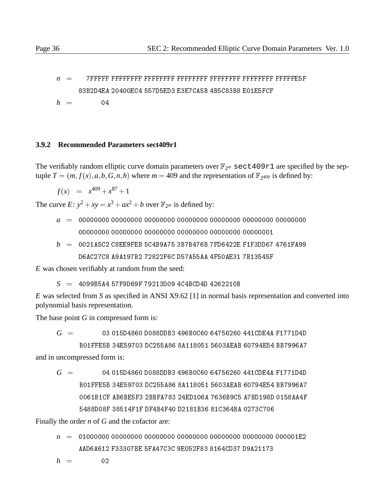*n* <sup>=</sup> 7FFFFF FFFFFFFF FFFFFFFF FFFFFFFF FFFFFFFF FFFFFFFF FFFFFE5F 83B2D4EA 20400EC4 557D5ED3 E3E7CA5B 4B5C83B8 E01E5FCF

 $h = 04$ 

#### **3.9.2 Recommended Parameters sect409r1**

The verifiably random elliptic curve domain parameters over  $\mathbb{F}_{2^m}$  sect409r1 are specified by the septuple  $T = (m, f(x), a, b, G, n, h)$  where  $m = 409$  and the representation of  $\mathbb{F}_{2^{409}}$  is defined by:

 $f(x) = x^{409} + x^{87} + 1$ 

The curve *E*:  $y^2 + xy = x^3 + ax^2 + b$  over  $\mathbb{F}_{2^m}$  is defined by:

- *a* <sup>=</sup> 00000000 00000000 00000000 00000000 00000000 00000000 00000000 00000000 00000000 00000000 00000000 00000000 00000001
- *b* <sup>=</sup> 0021A5C2 C8EE9FEB 5C4B9A75 3B7B476B 7FD6422E F1F3DD67 4761FA99 D6AC27C8 A9A197B2 72822F6C D57A55AA 4F50AE31 7B13545F

*E* was chosen verifiably at random from the seed:

*S* <sup>=</sup> 4099B5A4 57F9D69F 79213D09 4C4BCD4D 4262210B

*E* was selected from *S* as specified in ANSI X9.62 [1] in normal basis representation and converted into polynomial basis representation.

The base point *G* in compressed form is:

*G* <sup>=</sup> 03 015D4860 D088DDB3 496B0C60 64756260 441CDE4A F1771D4D

B01FFE5B 34E59703 DC255A86 8A118051 5603AEAB 60794E54 BB7996A7

and in uncompressed form is:

*G* <sup>=</sup> 04 015D4860 D088DDB3 496B0C60 64756260 441CDE4A F1771D4D B01FFE5B 34E59703 DC255A86 8A118051 5603AEAB 60794E54 BB7996A7

Finally the order *n* of *G* and the cofactor are:

*n* <sup>=</sup> 01000000 00000000 00000000 00000000 00000000 00000000 000001E2 AAD6A612 F33307BE 5FA47C3C 9E052F83 8164CD37 D9A21173

$$
h = 02
$$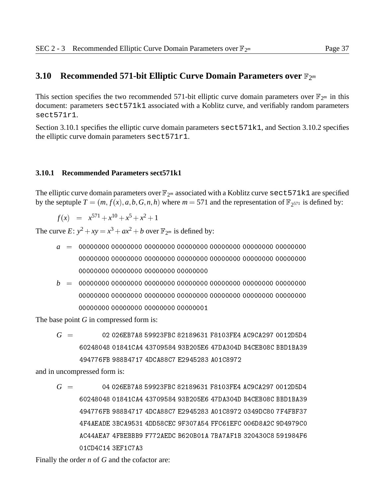#### **3.10 Recommended 571-bit Elliptic Curve Domain Parameters over**  $\mathbb{F}_{2^m}$

This section specifies the two recommended 571-bit elliptic curve domain parameters over  $\mathbb{F}_{2^m}$  in this document: parameters sect571k1 associated with a Koblitz curve, and verifiably random parameters sect571r1.

Section 3.10.1 specifies the elliptic curve domain parameters sect571k1, and Section 3.10.2 specifies the elliptic curve domain parameters sect571r1.

#### **3.10.1 Recommended Parameters sect571k1**

The elliptic curve domain parameters over  $\mathbb{F}_{2^m}$  associated with a Koblitz curve sect571k1 are specified by the septuple  $T = (m, f(x), a, b, G, n, h)$  where  $m = 571$  and the representation of  $\mathbb{F}_{2^{571}}$  is defined by:

$$
f(x) = x^{571} + x^{10} + x^5 + x^2 + 1
$$

The curve  $E: y^2 + xy = x^3 + ax^2 + b$  over  $\mathbb{F}_{2^m}$  is defined by:

- *a* <sup>=</sup> 00000000 00000000 00000000 00000000 00000000 00000000 00000000
- *b* <sup>=</sup> 00000000 00000000 00000000 00000000 00000000 00000000 00000000 00000000 00000000 00000000 00000001

The base point *G* in compressed form is:

*G* <sup>=</sup> 02 026EB7A8 59923FBC 82189631 F8103FE4 AC9CA297 0012D5D4 60248048 01841CA4 43709584 93B205E6 47DA304D B4CEB08C BBD1BA39 494776FB 988B4717 4DCA88C7 E2945283 A01C8972

and in uncompressed form is:

*G* <sup>=</sup> 04 026EB7A8 59923FBC 82189631 F8103FE4 AC9CA297 0012D5D4 60248048 01841CA4 43709584 93B205E6 47DA304D B4CEB08C BBD1BA39 494776FB 988B4717 4DCA88C7 E2945283 A01C8972 0349DC80 7F4FBF37 4F4AEADE 3BCA9531 4DD58CEC 9F307A54 FFC61EFC 006D8A2C 9D4979C0 AC44AEA7 4FBEBBB9 F772AEDC B620B01A 7BA7AF1B 320430C8 591984F6

Finally the order *n* of *G* and the cofactor are: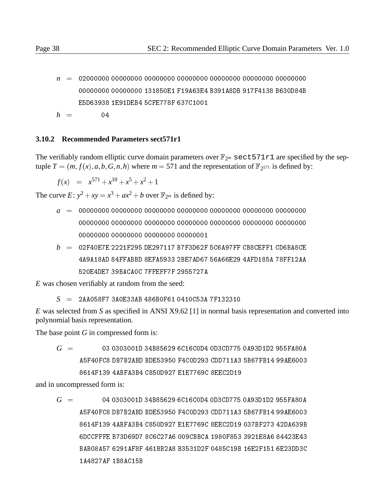*n* <sup>=</sup> 02000000 00000000 00000000 00000000 00000000 00000000 00000000 00000000 00000000 131850E1 F19A63E4 B391A8DB 917F4138 B630D84B E5D63938 1E91DEB4 5CFE778F 637C1001  $h = 04$ 

#### **3.10.2 Recommended Parameters sect571r1**

The verifiably random elliptic curve domain parameters over  $\mathbb{F}_{2^m}$  sect571r1 are specified by the septuple  $T = (m, f(x), a, b, G, n, h)$  where  $m = 571$  and the representation of  $\mathbb{F}_{2^{571}}$  is defined by:

$$
f(x) = x^{571} + x^{10} + x^5 + x^2 + 1
$$

The curve  $E: y^2 + xy = x^3 + ax^2 + b$  over  $\mathbb{F}_{2^m}$  is defined by:

- *a* <sup>=</sup> 00000000 00000000 00000000 00000000 00000000 00000000 00000000 00000000 00000000 00000000 00000000 00000000 00000000 00000000 00000000 00000000 00000000 00000001
- *b* <sup>=</sup> 02F40E7E 2221F295 DE297117 B7F3D62F 5C6A97FF CB8CEFF1 CD6BA8CE 4A9A18AD 84FFABBD 8EFA5933 2BE7AD67 56A66E29 4AFD185A 78FF12AA 520E4DE7 39BACA0C 7FFEFF7F 2955727A

*E* was chosen verifiably at random from the seed:

*S* <sup>=</sup> 2AA058F7 3A0E33AB 486B0F61 0410C53A 7F132310

*E* was selected from *S* as specified in ANSI X9.62 [1] in normal basis representation and converted into polynomial basis representation.

The base point *G* in compressed form is:

*G* <sup>=</sup> 03 0303001D 34B85629 6C16C0D4 0D3CD775 0A93D1D2 955FA80A A5F40FC8 DB7B2ABD BDE53950 F4C0D293 CDD711A3 5B67FB14 99AE6003 8614F139 4ABFA3B4 C850D927 E1E7769C 8EEC2D19

and in uncompressed form is:

*G* <sup>=</sup> 04 0303001D 34B85629 6C16C0D4 0D3CD775 0A93D1D2 955FA80A A5F40FC8 DB7B2ABD BDE53950 F4C0D293 CDD711A3 5B67FB14 99AE6003 8614F139 4ABFA3B4 C850D927 E1E7769C 8EEC2D19 037BF273 42DA639B 6DCCFFFE B73D69D7 8C6C27A6 009CBBCA 1980F853 3921E8A6 84423E43 BAB08A57 6291AF8F 461BB2A8 B3531D2F 0485C19B 16E2F151 6E23DD3C 1A4827AF 1B8AC15B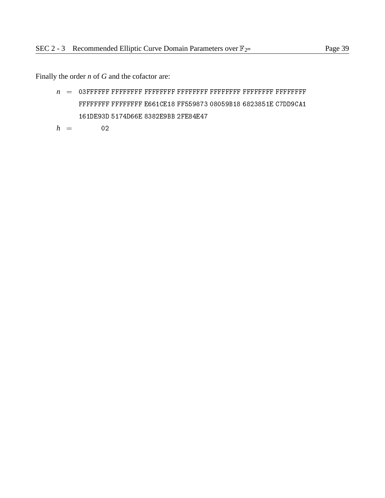Finally the order *n* of *G* and the cofactor are:

*n* <sup>=</sup> 03FFFFFF FFFFFFFF FFFFFFFF FFFFFFFF FFFFFFFF FFFFFFFF FFFFFFFF FFFFFFFF FFFFFFFF E661CE18 FF559873 08059B18 6823851E C7DD9CA1 161DE93D 5174D66E 8382E9BB 2FE84E47

$$
h = 02
$$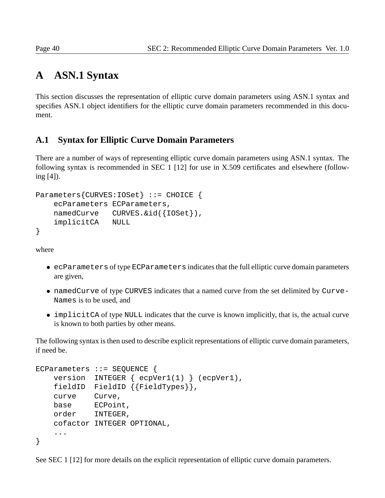## **A ASN.1 Syntax**

This section discusses the representation of elliptic curve domain parameters using ASN.1 syntax and specifies ASN.1 object identifiers for the elliptic curve domain parameters recommended in this document.

## **A.1 Syntax for Elliptic Curve Domain Parameters**

There are a number of ways of representing elliptic curve domain parameters using ASN.1 syntax. The following syntax is recommended in SEC 1 [12] for use in X.509 certificates and elsewhere (following [4]).

```
Parameters{CURVES:IOSet} ::= CHOICE {
    ecParameters ECParameters,
   namedCurve CURVES. & id({IOSet}),
    implicitCA NULL
}
```
where

- ecParameters of type ECParameters indicates that the full elliptic curve domain parameters are given,
- namedCurve of type CURVES indicates that a named curve from the set delimited by Curve-Names is to be used, and
- implicitCA of type NULL indicates that the curve is known implicitly, that is, the actual curve is known to both parties by other means.

The following syntax is then used to describe explicit representations of elliptic curve domain parameters, if need be.

```
ECParameters ::= SEQUENCE {
   version INTEGER { ecpVer1(1) } (ecpVer1),
   fieldID FieldID {{FieldTypes}},
   curve Curve,
   base ECPoint,
   order INTEGER,
   cofactor INTEGER OPTIONAL,
    ...
}
```
See SEC 1 [12] for more details on the explicit representation of elliptic curve domain parameters.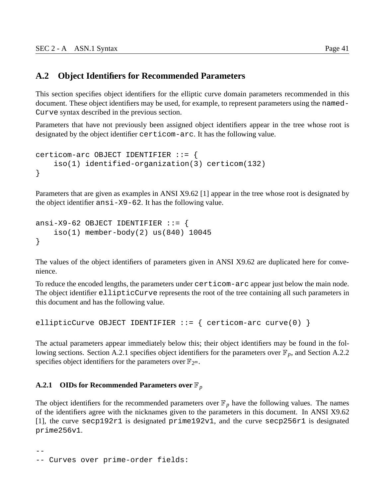## **A.2 Object Identifiers for Recommended Parameters**

This section specifies object identifiers for the elliptic curve domain parameters recommended in this document. These object identifiers may be used, for example, to represent parameters using the named-Curve syntax described in the previous section.

Parameters that have not previously been assigned object identifiers appear in the tree whose root is designated by the object identifier certicom-arc. It has the following value.

```
certicom-arc OBJECT IDENTIFIER ::= {
    iso(1) identified-organization(3) certicom(132)
}
```
Parameters that are given as examples in ANSI X9.62 [1] appear in the tree whose root is designated by the object identifier ansi-X9-62. It has the following value.

```
ansi-X9-62 OBJECT IDENTIFIER ::= {
    iso(1) member-body(2) us(840) 10045
}
```
The values of the object identifiers of parameters given in ANSI X9.62 are duplicated here for convenience.

To reduce the encoded lengths, the parameters under certicom-arc appear just below the main node. The object identifier ellipticCurve represents the root of the tree containing all such parameters in this document and has the following value.

```
ellipticCurve OBJECT IDENTIFIER ::= { certicom-arc curve(0) }
```
The actual parameters appear immediately below this; their object identifiers may be found in the following sections. Section A.2.1 specifies object identifiers for the parameters over  $\mathbb{F}_p$ , and Section A.2.2 specifies object identifiers for the parameters over  $\mathbb{F}_{2^m}$ .

#### **A.2.1 OIDs for Recommended Parameters over**  $\mathbb{F}_p$

The object identifiers for the recommended parameters over  $\mathbb{F}_p$  have the following values. The names of the identifiers agree with the nicknames given to the parameters in this document. In ANSI X9.62 [1], the curve secp192r1 is designated prime192v1, and the curve secp256r1 is designated prime256v1.

```
--
-- Curves over prime-order fields:
```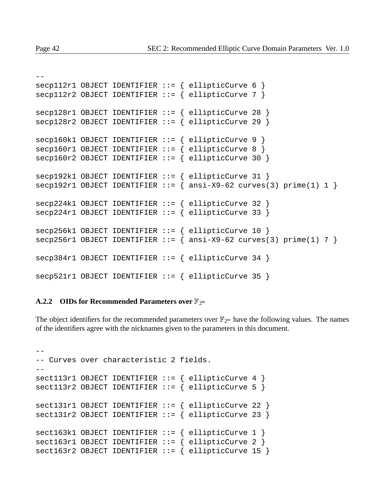```
-
```
 $-$ 

```
seq112r1 OBJECT IDENTIFIER ::= { ellipticCurve 6 }
seq112r2 OBJECT IDENTIFIER ::= { ellipticCurve 7 }
secp128r1 OBJECT IDENTIFIER ::= { ellipticCurve 28 }
secp128r2 OBJECT IDENTIFIER ::= { ellipticCurve 29 }
secp160k1 OBJECT IDENTIFIER ::= { ellipticCurve 9 }
secp160r1 OBJECT IDENTIFIER ::= { ellipticCurve 8 }
secp160r2 OBJECT IDENTIFIER ::= { ellipticCurve 30 }
secp192k1 OBJECT IDENTIFIER ::= { ellipticCurve 31 }
secp192r1 OBJECT IDENTIFIER := \{ \text{ansi}-X9-62 \text{ curves}(3) \text{ prime}(1) 1 \}secp224k1 OBJECT IDENTIFIER ::= { ellipticCurve 32 }
seq224r1 OBJECT IDENTIFIER ::= { ellipticCurve 33 }
secp256k1 OBJECT IDENTIFIER ::= { ellipticCurve 10 }
secp256r1 OBJECT IDENTIFIER := { ansi-X9-62 curves(3) prime(1) 7 }
secp384r1 OBJECT IDENTIFIER ::= { ellipticCurve 34 }
secp521r1 OBJECT IDENTIFIER ::= { ellipticCurve 35 }
```
#### **A.2.2 OIDs for Recommended Parameters over**  $\mathbb{F}_{2^m}$

The object identifiers for the recommended parameters over  $\mathbb{F}_{2^m}$  have the following values. The names of the identifiers agree with the nicknames given to the parameters in this document.

```
-- Curves over characteristic 2 fields.
--
sect113r1 OBJECT IDENTIFIER ::= { ellipticCurve 4 }
sect113r2 OBJECT IDENTIFYER ::= { ellipticCurve 5 }sect131r1 OBJECT IDENTIFIER ::= { ellipticCurve 22 }
sect131r2 OBJECT IDENTIFIER ::= { ellipticCurve 23 }
sect163k1 OBJECT IDENTIFIER  ::= \{ ellipticCurve 1 \}sect163r1 OBJECT IDENTIFIER ::= { ellipticCurve 2 }
sect163r2 OBJECT IDENTIFYER ::= { ellipticCurve 15 }
```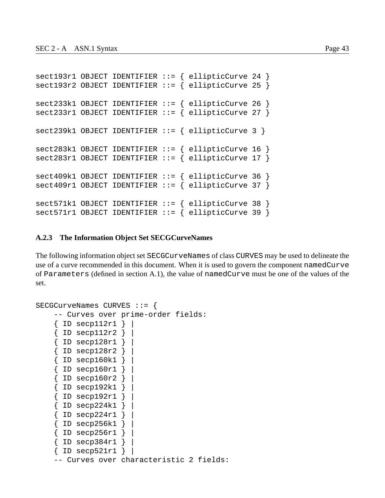```
sect193r1 OBJECT IDENTIFIER ::= { ellipticCurve 24 }
sect193r2 OBJECT IDENTIFYER ::= { ellipticCurve 25 }sect233k1 OBJECT IDENTIFIER ::= { ellipticCurve 26 }
sect233r1 OBJECT IDENTIFIER ::= { ellipticCurve 27 }
sect239k1 OBJECT IDENTIFIER ::= { ellipticCurve 3 }
sect283k1 OBJECT IDENTIFIER ::= { ellipticCurve 16 }
sect283r1 OBJECT IDENTIFIER ::= { ellipticCurve 17 }
sect409k1 OBJECT IDENTIFIER ::= { ellipticCurve 36 }
sect409r1 OBJECT IDENTIFIER ::= { ellipticCurve 37 }
sect571k1 OBJECT IDENTIFIER ::= { ellipticCurve 38 }
sect571r1 OBJECT IDENTIFIER ::= { ellipticCurve 39 }
```
#### **A.2.3 The Information Object Set SECGCurveNames**

The following information object set SECGCurveNames of class CURVES may be used to delineate the use of a curve recommended in this document. When it is used to govern the component namedCurve of Parameters (defined in section A.1), the value of namedCurve must be one of the values of the set.

```
SECGCurveNames CURVES ::= {
    -- Curves over prime-order fields:
    { ID secp112r1 } |
    \{ ID secpl12r2 \} |
    \{ ID secp128r1 \}{ ID secp128r2 } |
    \{ ID secp160k1 \} |
    \{ ID secp160r1 \} |
    { ID secp160r2 } |
    { ID secp192k1 } |
    { ID secp192r1 } |
    \{ ID secp224k1 \}\{ ID secp224r1 \}\{ ID secp256k1 \} |
    { ID secp256r1 } |
    \{ ID secp384r1 \}\{ ID secp521r1 \}-- Curves over characteristic 2 fields:
```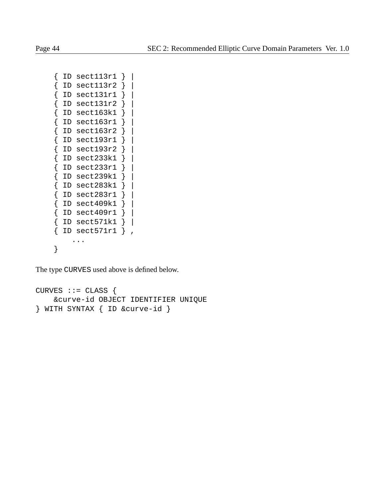```
{ ID sect113r1 } |
{ ID sect113r2 } |
\{ ID sect131r1 \}{ ID sect131r2 } |
\{ ID sect163k1 \}\{ ID sect163r1 \}\{ ID sect163r2 \}{ ID sect193r1 } |
{ ID sect193r2 } |
\{ ID sect233k1 \}\{ ID sect233r1 \}{ ID sect239k1 } |
\{ ID sect283k1 \}\{ ID sect283r1 \}\{ ID sect409k1 \}\{ ID sect409r1 \}{ ID sect571k1 } |
\{ ID sect571r1 \} ,
    ...
}
```
The type CURVES used above is defined below.

```
CURVES :: = CLASS&curve-id OBJECT IDENTIFIER UNIQUE
} WITH SYNTAX { ID &curve-id }
```